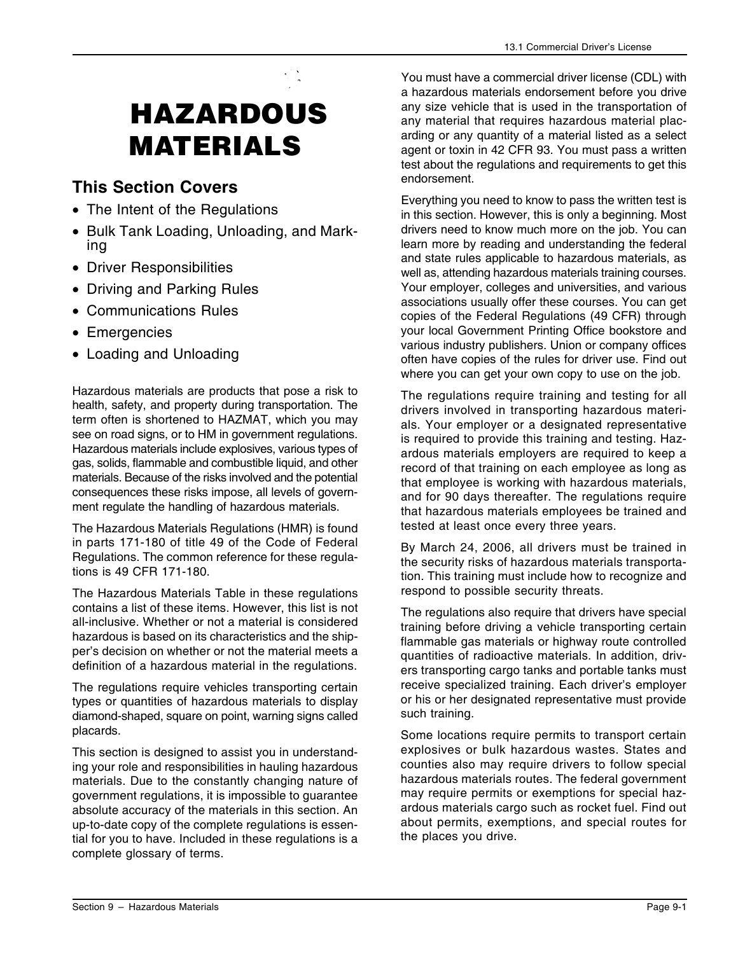## 9 HAZARDOUS MATERIALS ss ss <sup>s</sup>tttttt  $\frac{1}{2}$

tt t  $\frac{1}{2}$ 

# **This Section Covers**

- The Intent of the Regulations
- Bulk Tank Loading, Unloading, and Marking
- Driver Responsibilities
- Driving and Parking Rules
- Communications Rules
- • Emergencies
- Loading and Unloading

Hazardous materials are products that pose a risk to health, safety, and property during transportation. The term often is shortened to HAZMAT, which you may see on road signs, or to HM in government regulations. Hazardous materials include explosives, various types of gas, solids, flammable and combustible liquid, and other materials. Because of the risks involved and the potential consequences these risks impose, all levels of government regulate the handling of hazardous materials.

The Hazardous Materials Regulations (HMR) is found in parts 171-180 of title 49 of the Code of Federal Regulations. The common reference for these regulations is 49 CFR 171-180.

The Hazardous Materials Table in these regulations contains a list of these items. However, this list is not all-inclusive. Whether or not a material is considered hazardous is based on its characteristics and the shipper's decision on whether or not the material meets a definition of a hazardous material in the regulations.

The regulations require vehicles transporting certain types or quantities of hazardous materials to display diamond-shaped, square on point, warning signs called placards.

This section is designed to assist you in understanding your role and responsibilities in hauling hazardous materials. Due to the constantly changing nature of government regulations, it is impossible to guarantee absolute accuracy of the materials in this section. An up-to-date copy of the complete regulations is essential for you to have. Included in these regulations is a complete glossary of terms.

You must have a commercial driver license (CDL) with a hazardous materials endorsement before you drive any size vehicle that is used in the transportation of any material that requires hazardous material placarding or any quantity of a material listed as a select agent or toxin in 42 CFR 93. You must pass a written test about the regulations and requirements to get this endorsement.

Everything you need to know to pass the written test is in this section. However, this is only a beginning. Most drivers need to know much more on the job. You can learn more by reading and understanding the federal and state rules applicable to hazardous materials, as well as, attending hazardous materials training courses. Your employer, colleges and universities, and various associations usually offer these courses. You can get copies of the Federal Regulations (49 CFR) through your local Government Printing Office bookstore and various industry publishers. Union or company offices often have copies of the rules for driver use. Find out where you can get your own copy to use on the job.

The regulations require training and testing for all drivers involved in transporting hazardous materials. Your employer or a designated representative is required to provide this training and testing. Hazardous materials employers are required to keep a record of that training on each employee as long as that employee is working with hazardous materials, and for 90 days thereafter. The regulations require that hazardous materials employees be trained and tested at least once every three years.

By March 24, 2006, all drivers must be trained in the security risks of hazardous materials transportation. This training must include how to recognize and respond to possible security threats.

The regulations also require that drivers have special training before driving a vehicle transporting certain flammable gas materials or highway route controlled quantities of radioactive materials. In addition, drivers transporting cargo tanks and portable tanks must receive specialized training. Each driver's employer or his or her designated representative must provide such training.

Some locations require permits to transport certain explosives or bulk hazardous wastes. States and counties also may require drivers to follow special hazardous materials routes. The federal government may require permits or exemptions for special hazardous materials cargo such as rocket fuel. Find out about permits, exemptions, and special routes for the places you drive.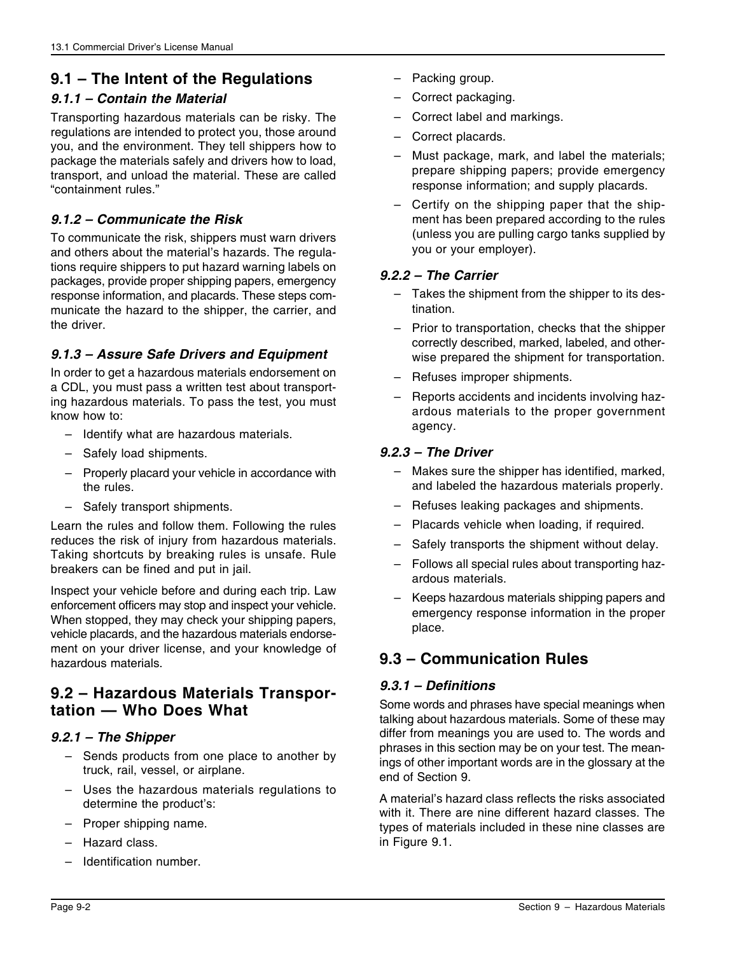# **9.1 – The Intent of the Regulations**

## **9.1.1 – Contain the Material**

Transporting hazardous materials can be risky. The regulations are intended to protect you, those around you, and the environment. They tell shippers how to package the materials safely and drivers how to load, transport, and unload the material. These are called "containment rules."

## **9.1.2 – Communicate the Risk**

To communicate the risk, shippers must warn drivers and others about the material's hazards. The regulations require shippers to put hazard warning labels on packages, provide proper shipping papers, emergency response information, and placards. These steps communicate the hazard to the shipper, the carrier, and the driver.

## **9.1.3 – Assure Safe Drivers and Equipment**

In order to get a hazardous materials endorsement on a CDL, you must pass a written test about transporting hazardous materials. To pass the test, you must know how to:

- Identify what are hazardous materials.
- Safely load shipments.
- Properly placard your vehicle in accordance with the rules.
- Safely transport shipments.

Learn the rules and follow them. Following the rules reduces the risk of injury from hazardous materials. Taking shortcuts by breaking rules is unsafe. Rule breakers can be fined and put in jail.

Inspect your vehicle before and during each trip. Law enforcement officers may stop and inspect your vehicle. When stopped, they may check your shipping papers, vehicle placards, and the hazardous materials endorsement on your driver license, and your knowledge of hazardous materials.

## **9.2 – Hazardous Materials Transportation — Who Does What**

## **9.2.1 – The Shipper**

- Sends products from one place to another by truck, rail, vessel, or airplane.
- Uses the hazardous materials regulations to determine the product's:
- Proper shipping name.
- Hazard class.
- Identification number.
- Packing group.
- Correct packaging.
- Correct label and markings.
- Correct placards.
- Must package, mark, and label the materials; prepare shipping papers; provide emergency response information; and supply placards.
- Certify on the shipping paper that the shipment has been prepared according to the rules (unless you are pulling cargo tanks supplied by you or your employer).

## **9.2.2 – The Carrier**

- Takes the shipment from the shipper to its destination.
- Prior to transportation, checks that the shipper correctly described, marked, labeled, and otherwise prepared the shipment for transportation.
- Refuses improper shipments.
- Reports accidents and incidents involving hazardous materials to the proper government agency.

## **9.2.3 – The Driver**

- Makes sure the shipper has identified, marked, and labeled the hazardous materials properly.
- Refuses leaking packages and shipments.
- Placards vehicle when loading, if required.
- Safely transports the shipment without delay.
- Follows all special rules about transporting hazardous materials.
- Keeps hazardous materials shipping papers and emergency response information in the proper place.

# **9.3 – Communication Rules**

## **9.3.1 – Definitions**

Some words and phrases have special meanings when talking about hazardous materials. Some of these may differ from meanings you are used to. The words and phrases in this section may be on your test. The meanings of other important words are in the glossary at the end of Section 9.

A material's hazard class reflects the risks associated with it. There are nine different hazard classes. The types of materials included in these nine classes are in Figure 9.1.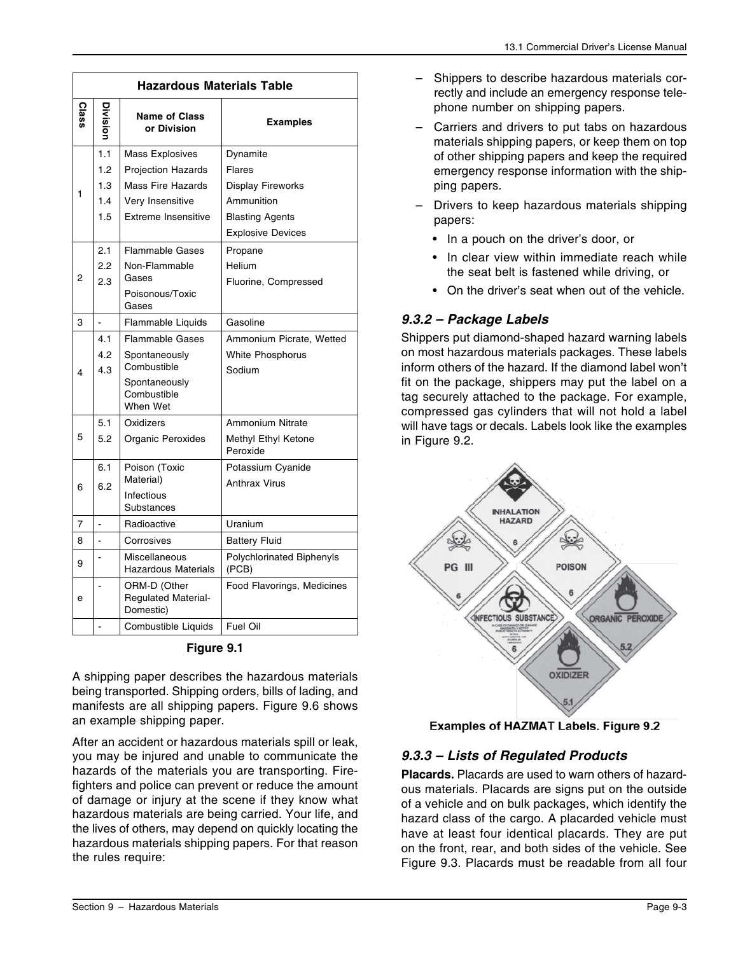|              | <b>Hazardous Materials Table</b> |                                                         |                                                    |  |  |  |  |
|--------------|----------------------------------|---------------------------------------------------------|----------------------------------------------------|--|--|--|--|
| <b>Class</b> | Division                         | <b>Name of Class</b><br>or Division                     | <b>Examples</b>                                    |  |  |  |  |
|              | 1.1                              | <b>Mass Explosives</b>                                  | Dynamite                                           |  |  |  |  |
|              | 1.2                              | <b>Projection Hazards</b>                               | Flares                                             |  |  |  |  |
| 1            | 1.3                              | <b>Mass Fire Hazards</b>                                | Display Fireworks                                  |  |  |  |  |
|              | 1.4                              | Very Insensitive                                        | Ammunition                                         |  |  |  |  |
|              | 1.5                              | <b>Extreme Insensitive</b>                              | <b>Blasting Agents</b><br><b>Explosive Devices</b> |  |  |  |  |
|              | 2.1                              | <b>Flammable Gases</b>                                  | Propane                                            |  |  |  |  |
|              | 2.2                              | Non-Flammable                                           | Helium                                             |  |  |  |  |
| 2            | 2.3                              | Gases                                                   | Fluorine, Compressed                               |  |  |  |  |
|              |                                  | Poisonous/Toxic<br>Gases                                |                                                    |  |  |  |  |
| 3            |                                  | Flammable Liquids                                       | Gasoline                                           |  |  |  |  |
|              | 4.1                              | <b>Flammable Gases</b>                                  | Ammonium Picrate, Wetted                           |  |  |  |  |
|              | 4.2                              | Spontaneously                                           | <b>White Phosphorus</b>                            |  |  |  |  |
| 4            | 4.3                              | Combustible                                             | Sodium                                             |  |  |  |  |
|              |                                  | Spontaneously<br>Combustible<br>When Wet                |                                                    |  |  |  |  |
|              | 5.1                              | Oxidizers                                               | <b>Ammonium Nitrate</b>                            |  |  |  |  |
| 5            | 5.2                              | <b>Organic Peroxides</b>                                | Methyl Ethyl Ketone<br>Peroxide                    |  |  |  |  |
|              | 6.1                              | Poison (Toxic                                           | Potassium Cyanide                                  |  |  |  |  |
| 6            | 6.2                              | Material)                                               | <b>Anthrax Virus</b>                               |  |  |  |  |
|              |                                  | Infectious<br>Substances                                |                                                    |  |  |  |  |
| 7            | -                                | Radioactive                                             | Uranium                                            |  |  |  |  |
| 8            |                                  | Corrosives                                              | <b>Battery Fluid</b>                               |  |  |  |  |
| 9            |                                  | Miscellaneous<br><b>Hazardous Materials</b>             | Polychlorinated Biphenyls<br>(PCB)                 |  |  |  |  |
| e            | $\overline{a}$                   | ORM-D (Other<br><b>Regulated Material-</b><br>Domestic) | Food Flavorings, Medicines                         |  |  |  |  |
|              |                                  | Combustible Liquids                                     | Fuel Oil                                           |  |  |  |  |

| Figure 9.1 |  |
|------------|--|
|------------|--|

A shipping paper describes the hazardous materials being transported. Shipping orders, bills of lading, and manifests are all shipping papers. Figure 9.6 shows an example shipping paper.

After an accident or hazardous materials spill or leak, you may be injured and unable to communicate the hazards of the materials you are transporting. Firefighters and police can prevent or reduce the amount of damage or injury at the scene if they know what hazardous materials are being carried. Your life, and the lives of others, may depend on quickly locating the hazardous materials shipping papers. For that reason the rules require:

- Shippers to describe hazardous materials correctly and include an emergency response telephone number on shipping papers.
- Carriers and drivers to put tabs on hazardous materials shipping papers, or keep them on top of other shipping papers and keep the required emergency response information with the shipping papers.
- Drivers to keep hazardous materials shipping papers:
	- In a pouch on the driver's door, or
	- In clear view within immediate reach while the seat belt is fastened while driving, or
	- On the driver's seat when out of the vehicle.

# **9.3.2 – Package Labels**

Shippers put diamond-shaped hazard warning labels on most hazardous materials packages. These labels inform others of the hazard. If the diamond label won't fit on the package, shippers may put the label on a tag securely attached to the package. For example, compressed gas cylinders that will not hold a label will have tags or decals. Labels look like the examples in Figure 9.2.



**Examples of HAZMAT Labels. Figure 9.2** 

# **9.3.3 – Lists of Regulated Products**

**Placards.** Placards are used to warn others of hazardous materials. Placards are signs put on the outside of a vehicle and on bulk packages, which identify the hazard class of the cargo. A placarded vehicle must have at least four identical placards. They are put on the front, rear, and both sides of the vehicle. See Figure 9.3. Placards must be readable from all four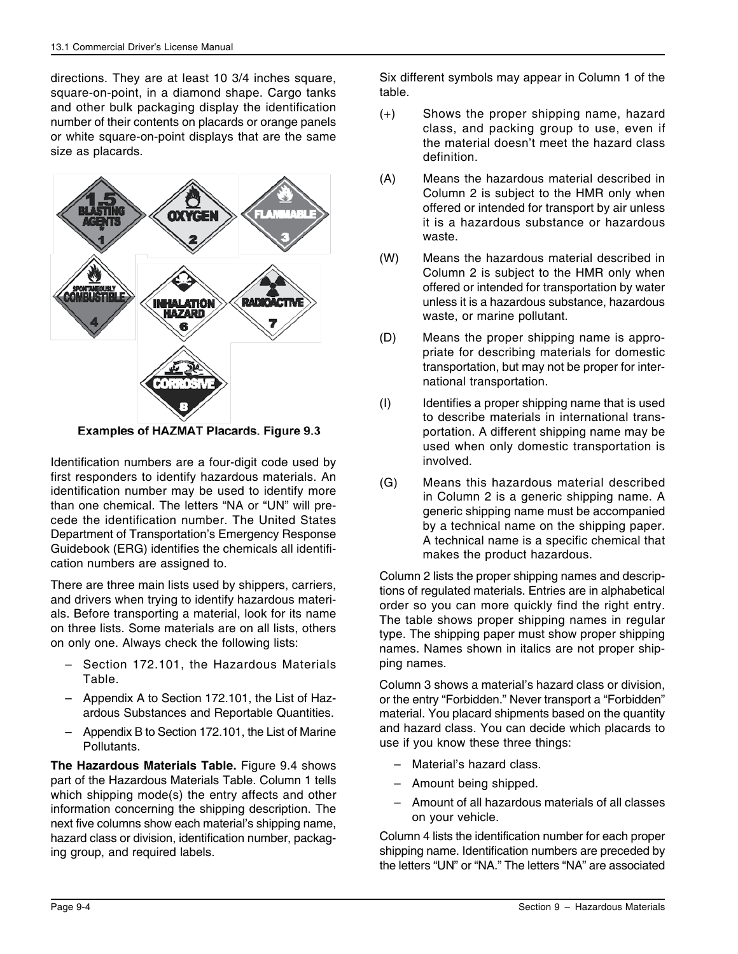directions. They are at least 10 3/4 inches square, square-on-point, in a diamond shape. Cargo tanks and other bulk packaging display the identification number of their contents on placards or orange panels or white square-on-point displays that are the same size as placards.



**Examples of HAZMAT Placards. Figure 9.3** 

Identification numbers are a four-digit code used by first responders to identify hazardous materials. An identification number may be used to identify more than one chemical. The letters "NA or "UN" will precede the identification number. The United States Department of Transportation's Emergency Response Guidebook (ERG) identifies the chemicals all identification numbers are assigned to.

There are three main lists used by shippers, carriers, and drivers when trying to identify hazardous materials. Before transporting a material, look for its name on three lists. Some materials are on all lists, others on only one. Always check the following lists:

- Section 172.101, the Hazardous Materials Table.
- Appendix A to Section 172.101, the List of Hazardous Substances and Reportable Quantities.
- Appendix B to Section 172.101, the List of Marine Pollutants.

**The Hazardous Materials Table.** Figure 9.4 shows part of the Hazardous Materials Table. Column 1 tells which shipping mode(s) the entry affects and other information concerning the shipping description. The next five columns show each material's shipping name, hazard class or division, identification number, packaging group, and required labels.

Six different symbols may appear in Column 1 of the table.

- (+) Shows the proper shipping name, hazard class, and packing group to use, even if the material doesn't meet the hazard class definition.
- (A) Means the hazardous material described in Column 2 is subject to the HMR only when offered or intended for transport by air unless it is a hazardous substance or hazardous waste.
- (W) Means the hazardous material described in Column 2 is subject to the HMR only when offered or intended for transportation by water unless it is a hazardous substance, hazardous waste, or marine pollutant.
- (D) Means the proper shipping name is appropriate for describing materials for domestic transportation, but may not be proper for international transportation.
- (I) Identifies a proper shipping name that is used to describe materials in international transportation. A different shipping name may be used when only domestic transportation is involved.
- (G) Means this hazardous material described in Column 2 is a generic shipping name. A generic shipping name must be accompanied by a technical name on the shipping paper. A technical name is a specific chemical that makes the product hazardous.

Column 2 lists the proper shipping names and descriptions of regulated materials. Entries are in alphabetical order so you can more quickly find the right entry. The table shows proper shipping names in regular type. The shipping paper must show proper shipping names. Names shown in italics are not proper shipping names.

Column 3 shows a material's hazard class or division, or the entry "Forbidden." Never transport a "Forbidden" material. You placard shipments based on the quantity and hazard class. You can decide which placards to use if you know these three things:

- Material's hazard class.
- Amount being shipped.
- Amount of all hazardous materials of all classes on your vehicle.

Column 4 lists the identification number for each proper shipping name. Identification numbers are preceded by the letters "UN" or "NA." The letters "NA" are associated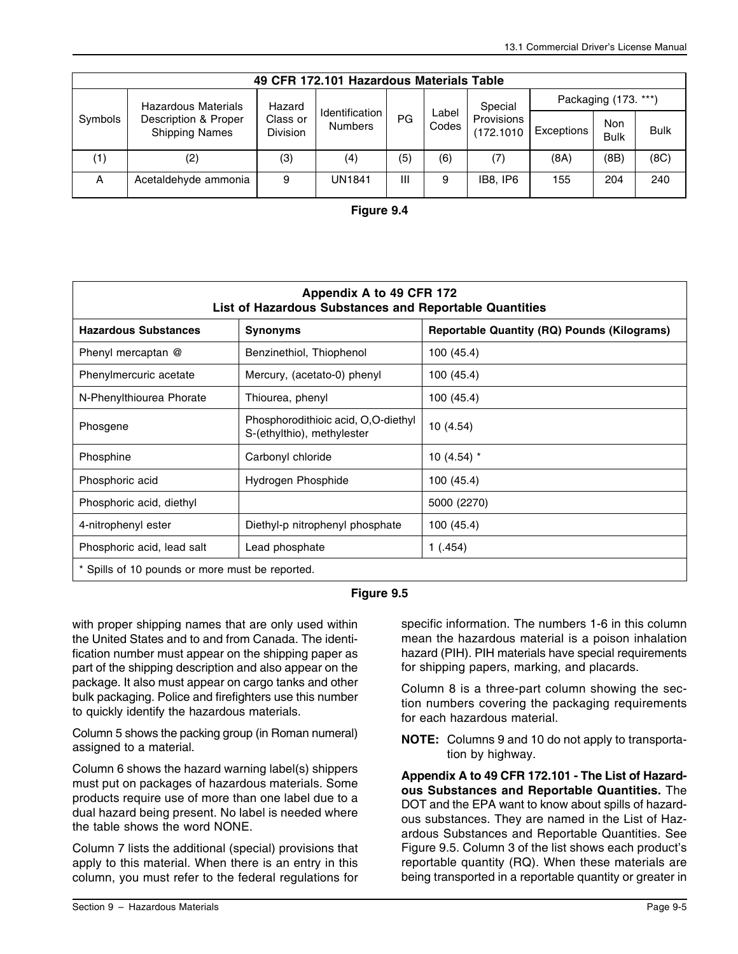|         | 49 CFR 172.101 Hazardous Materials Table                                                                         |        |        |                |                         |                 |                      |             |      |
|---------|------------------------------------------------------------------------------------------------------------------|--------|--------|----------------|-------------------------|-----------------|----------------------|-------------|------|
|         | <b>Hazardous Materials</b>                                                                                       | Hazard |        |                |                         | Special         | Packaging (173. ***) |             |      |
| Symbols | Identification<br>Description & Proper<br>Class or<br><b>Numbers</b><br><b>Division</b><br><b>Shipping Names</b> |        | PG     | Label<br>Codes | Provisions<br>(172.1010 | Exceptions      | Non<br><b>Bulk</b>   | <b>Bulk</b> |      |
| (1)     | (2)                                                                                                              | (3)    | (4)    | (5)            | (6)                     | (7)             | (8A)                 | (BB)        | (8C) |
| A       | Acetaldehyde ammonia                                                                                             | 9      | UN1841 | Ш              | 9                       | <b>IB8. IP6</b> | 155                  | 204         | 240  |

| Figure 9.4 |
|------------|
|------------|

| Appendix A to 49 CFR 172<br>List of Hazardous Substances and Reportable Quantities |                                                                   |                                                    |  |  |  |  |
|------------------------------------------------------------------------------------|-------------------------------------------------------------------|----------------------------------------------------|--|--|--|--|
| <b>Hazardous Substances</b>                                                        | <b>Synonyms</b>                                                   | <b>Reportable Quantity (RQ) Pounds (Kilograms)</b> |  |  |  |  |
| Phenyl mercaptan @                                                                 | Benzinethiol, Thiophenol                                          | 100 (45.4)                                         |  |  |  |  |
| Phenylmercuric acetate                                                             | Mercury, (acetato-0) phenyl                                       | 100 (45.4)                                         |  |  |  |  |
| N-Phenylthiourea Phorate                                                           | Thiourea, phenyl                                                  | 100 (45.4)                                         |  |  |  |  |
| Phosgene                                                                           | Phosphorodithioic acid, O,O-diethyl<br>S-(ethylthio), methylester | 10(4.54)                                           |  |  |  |  |
| Phosphine                                                                          | Carbonyl chloride                                                 | 10 $(4.54)$ *                                      |  |  |  |  |
| Phosphoric acid                                                                    | Hydrogen Phosphide                                                | 100 (45.4)                                         |  |  |  |  |
| Phosphoric acid, diethyl                                                           |                                                                   | 5000 (2270)                                        |  |  |  |  |
| 4-nitrophenyl ester                                                                | Diethyl-p nitrophenyl phosphate                                   | 100 (45.4)                                         |  |  |  |  |
| Phosphoric acid, lead salt<br>Lead phosphate                                       |                                                                   | 1(.454)                                            |  |  |  |  |
| * Spills of 10 pounds or more must be reported.                                    |                                                                   |                                                    |  |  |  |  |

#### **Figure 9.5**

with proper shipping names that are only used within the United States and to and from Canada. The identification number must appear on the shipping paper as part of the shipping description and also appear on the package. It also must appear on cargo tanks and other bulk packaging. Police and firefighters use this number to quickly identify the hazardous materials.

Column 5 shows the packing group (in Roman numeral) assigned to a material.

Column 6 shows the hazard warning label(s) shippers must put on packages of hazardous materials. Some products require use of more than one label due to a dual hazard being present. No label is needed where the table shows the word NONE.

Column 7 lists the additional (special) provisions that apply to this material. When there is an entry in this column, you must refer to the federal regulations for

specific information. The numbers 1-6 in this column mean the hazardous material is a poison inhalation hazard (PIH). PIH materials have special requirements for shipping papers, marking, and placards.

Column 8 is a three-part column showing the section numbers covering the packaging requirements for each hazardous material.

**NOTE:** Columns 9 and 10 do not apply to transportation by highway.

**Appendix A to 49 CFR 172.101 - The List of Hazardous Substances and Reportable Quantities.** The DOT and the EPA want to know about spills of hazardous substances. They are named in the List of Hazardous Substances and Reportable Quantities. See Figure 9.5. Column 3 of the list shows each product's reportable quantity (RQ). When these materials are being transported in a reportable quantity or greater in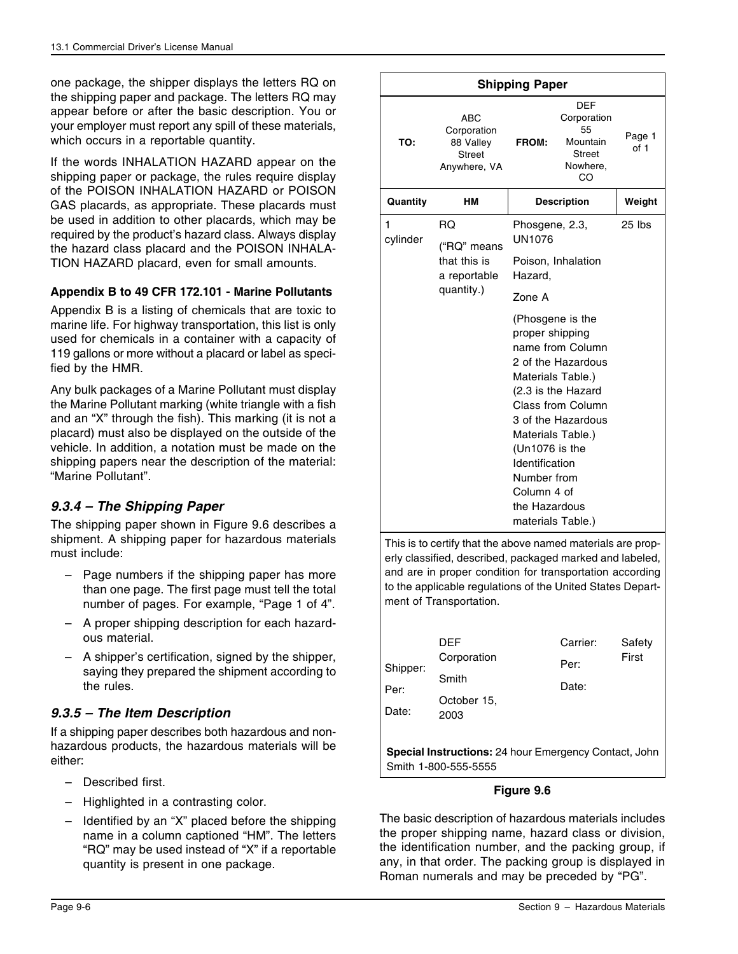one package, the shipper displays the letters RQ on the shipping paper and package. The letters RQ may appear before or after the basic description. You or your employer must report any spill of these materials, which occurs in a reportable quantity.

If the words INHALATION HAZARD appear on the shipping paper or package, the rules require display of the POISON INHALATION HAZARD or POISON GAS placards, as appropriate. These placards must be used in addition to other placards, which may be required by the product's hazard class. Always display the hazard class placard and the POISON INHALA-TION HAZARD placard, even for small amounts.

#### **Appendix B to 49 CFR 172.101 - Marine Pollutants**

Appendix B is a listing of chemicals that are toxic to marine life. For highway transportation, this list is only used for chemicals in a container with a capacity of 119 gallons or more without a placard or label as specified by the HMR.

Any bulk packages of a Marine Pollutant must display the Marine Pollutant marking (white triangle with a fish and an "X" through the fish). This marking (it is not a placard) must also be displayed on the outside of the vehicle. In addition, a notation must be made on the shipping papers near the description of the material: "Marine Pollutant".

## **9.3.4 – The Shipping Paper**

The shipping paper shown in Figure 9.6 describes a shipment. A shipping paper for hazardous materials must include:

- Page numbers if the shipping paper has more than one page. The first page must tell the total number of pages. For example, "Page 1 of 4".
- A proper shipping description for each hazardous material.
- A shipper's certification, signed by the shipper, saying they prepared the shipment according to the rules.

#### **9.3.5 – The Item Description**

If a shipping paper describes both hazardous and nonhazardous products, the hazardous materials will be either:

- Described first.
- Highlighted in a contrasting color.
- Identified by an "X" placed before the shipping name in a column captioned "HM". The letters "RQ" may be used instead of "X" if a reportable quantity is present in one package.

| <b>Shipping Paper</b>                                                                                                                                                               |                                                           |                                                                                                                                                                                                                                                                                                         |                                                                         |                |
|-------------------------------------------------------------------------------------------------------------------------------------------------------------------------------------|-----------------------------------------------------------|---------------------------------------------------------------------------------------------------------------------------------------------------------------------------------------------------------------------------------------------------------------------------------------------------------|-------------------------------------------------------------------------|----------------|
| TO:                                                                                                                                                                                 | ABC<br>Corporation<br>88 Valley<br>Street<br>Anywhere, VA | <b>FROM:</b>                                                                                                                                                                                                                                                                                            | <b>DEF</b><br>Corporation<br>55<br>Mountain<br>Street<br>Nowhere,<br>CO | Page 1<br>of 1 |
| Quantity                                                                                                                                                                            | ΗМ                                                        |                                                                                                                                                                                                                                                                                                         | <b>Description</b>                                                      | Weight         |
| 1<br>cylinder                                                                                                                                                                       | <b>RQ</b><br>("RQ" means<br>that this is                  | Phosgene, 2.3,<br><b>UN1076</b><br>Poison, Inhalation                                                                                                                                                                                                                                                   |                                                                         | $25$ lbs       |
|                                                                                                                                                                                     | a reportable<br>quantity.)                                | Hazard.<br>Zone A                                                                                                                                                                                                                                                                                       |                                                                         |                |
|                                                                                                                                                                                     |                                                           | (Phosgene is the<br>proper shipping<br>name from Column<br>2 of the Hazardous<br>Materials Table.)<br>(2.3 is the Hazard<br><b>Class from Column</b><br>3 of the Hazardous<br>Materials Table.)<br>(Un1076 is the<br>Identification<br>Number from<br>Column 4 of<br>the Hazardous<br>materials Table.) |                                                                         |                |
| This is to certify that the above named materials are prop-<br>erly classified, described, packaged marked and labeled,<br>and are in proper condition for transportation according |                                                           |                                                                                                                                                                                                                                                                                                         |                                                                         |                |

| Shipper:<br>Per:<br>Date: | DEF<br>Corporation<br>Smith<br>October 15,<br>2003                                   | Carrier:<br>Per:<br>Date: | Safety<br>First |
|---------------------------|--------------------------------------------------------------------------------------|---------------------------|-----------------|
|                           | <b>Special Instructions: 24 hour Emergency Contact, John</b><br>Smith 1-800-555-5555 |                           |                 |

to the applicable regulations of the United States Depart-

ment of Transportation.

#### **Figure 9.6**

The basic description of hazardous materials includes the proper shipping name, hazard class or division, the identification number, and the packing group, if any, in that order. The packing group is displayed in Roman numerals and may be preceded by "PG".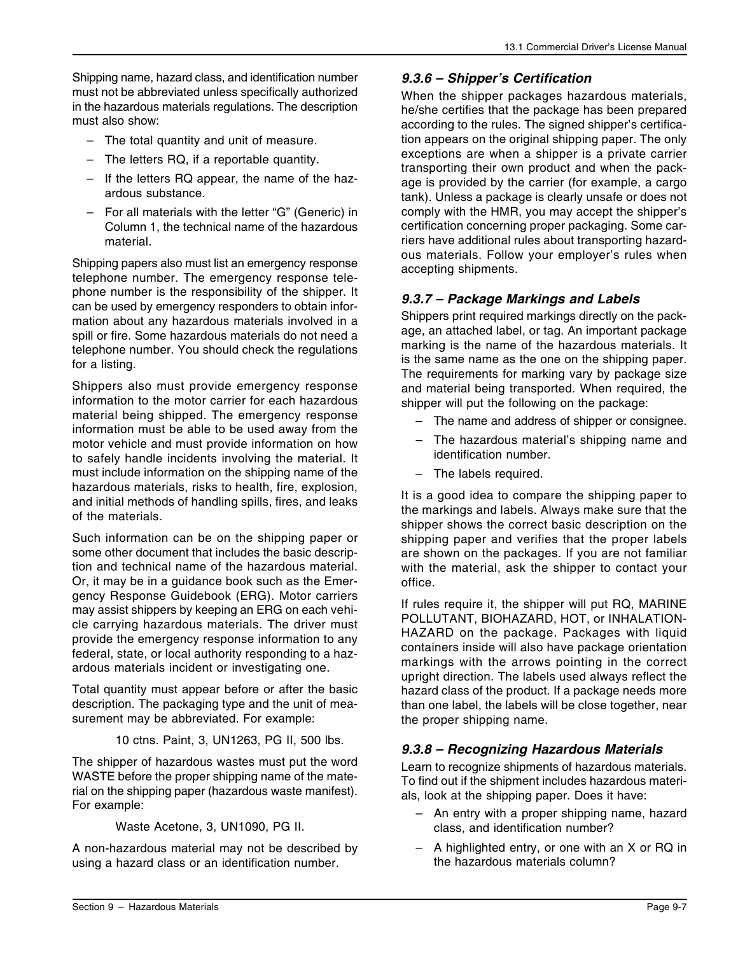Shipping name, hazard class, and identification number must not be abbreviated unless specifically authorized in the hazardous materials regulations. The description must also show:

- The total quantity and unit of measure.
- The letters RQ, if a reportable quantity.
- If the letters RQ appear, the name of the hazardous substance.
- For all materials with the letter "G" (Generic) in Column 1, the technical name of the hazardous material.

Shipping papers also must list an emergency response telephone number. The emergency response telephone number is the responsibility of the shipper. It can be used by emergency responders to obtain information about any hazardous materials involved in a spill or fire. Some hazardous materials do not need a telephone number. You should check the regulations for a listing.

Shippers also must provide emergency response information to the motor carrier for each hazardous material being shipped. The emergency response information must be able to be used away from the motor vehicle and must provide information on how to safely handle incidents involving the material. It must include information on the shipping name of the hazardous materials, risks to health, fire, explosion, and initial methods of handling spills, fires, and leaks of the materials.

Such information can be on the shipping paper or some other document that includes the basic description and technical name of the hazardous material. Or, it may be in a guidance book such as the Emergency Response Guidebook (ERG). Motor carriers may assist shippers by keeping an ERG on each vehicle carrying hazardous materials. The driver must provide the emergency response information to any federal, state, or local authority responding to a hazardous materials incident or investigating one.

Total quantity must appear before or after the basic description. The packaging type and the unit of measurement may be abbreviated. For example:

10 ctns. Paint, 3, UN1263, PG II, 500 lbs.

The shipper of hazardous wastes must put the word WASTE before the proper shipping name of the material on the shipping paper (hazardous waste manifest). For example:

Waste Acetone, 3, UN1090, PG II.

A non-hazardous material may not be described by using a hazard class or an identification number.

### **9.3.6 – Shipper's Certification**

When the shipper packages hazardous materials, he/she certifies that the package has been prepared according to the rules. The signed shipper's certification appears on the original shipping paper. The only exceptions are when a shipper is a private carrier transporting their own product and when the package is provided by the carrier (for example, a cargo tank). Unless a package is clearly unsafe or does not comply with the HMR, you may accept the shipper's certification concerning proper packaging. Some carriers have additional rules about transporting hazardous materials. Follow your employer's rules when accepting shipments.

### **9.3.7 – Package Markings and Labels**

Shippers print required markings directly on the package, an attached label, or tag. An important package marking is the name of the hazardous materials. It is the same name as the one on the shipping paper. The requirements for marking vary by package size and material being transported. When required, the shipper will put the following on the package:

- The name and address of shipper or consignee.
- The hazardous material's shipping name and identification number.
- The labels required.

It is a good idea to compare the shipping paper to the markings and labels. Always make sure that the shipper shows the correct basic description on the shipping paper and verifies that the proper labels are shown on the packages. If you are not familiar with the material, ask the shipper to contact your office.

If rules require it, the shipper will put RQ, MARINE POLLUTANT, BIOHAZARD, HOT, or INHALATION-HAZARD on the package. Packages with liquid containers inside will also have package orientation markings with the arrows pointing in the correct upright direction. The labels used always reflect the hazard class of the product. If a package needs more than one label, the labels will be close together, near the proper shipping name.

## **9.3.8 – Recognizing Hazardous Materials**

Learn to recognize shipments of hazardous materials. To find out if the shipment includes hazardous materials, look at the shipping paper. Does it have:

- An entry with a proper shipping name, hazard class, and identification number?
- A highlighted entry, or one with an X or RQ in the hazardous materials column?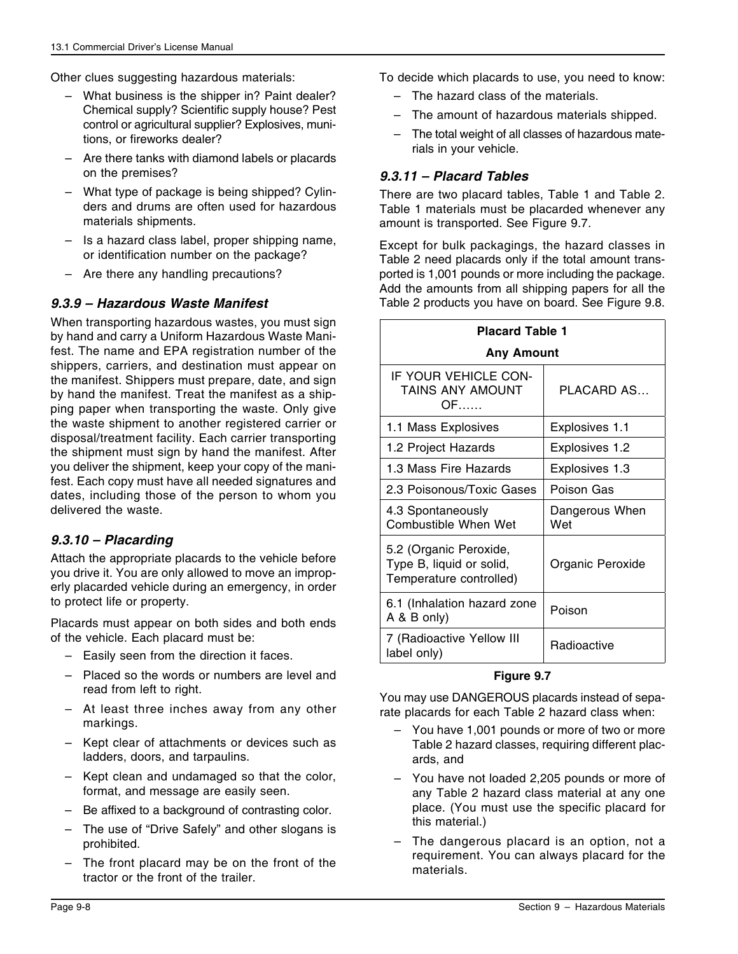Other clues suggesting hazardous materials:

- What business is the shipper in? Paint dealer? Chemical supply? Scientific supply house? Pest control or agricultural supplier? Explosives, munitions, or fireworks dealer?
- Are there tanks with diamond labels or placards on the premises?
- What type of package is being shipped? Cylinders and drums are often used for hazardous materials shipments.
- Is a hazard class label, proper shipping name, or identification number on the package?
- Are there any handling precautions?

#### **9.3.9 – Hazardous Waste Manifest**

When transporting hazardous wastes, you must sign by hand and carry a Uniform Hazardous Waste Manifest. The name and EPA registration number of the shippers, carriers, and destination must appear on the manifest. Shippers must prepare, date, and sign by hand the manifest. Treat the manifest as a shipping paper when transporting the waste. Only give the waste shipment to another registered carrier or disposal/treatment facility. Each carrier transporting the shipment must sign by hand the manifest. After you deliver the shipment, keep your copy of the manifest. Each copy must have all needed signatures and dates, including those of the person to whom you delivered the waste.

#### **9.3.10 – Placarding**

Attach the appropriate placards to the vehicle before you drive it. You are only allowed to move an improperly placarded vehicle during an emergency, in order to protect life or property.

Placards must appear on both sides and both ends of the vehicle. Each placard must be:

- Easily seen from the direction it faces.
- Placed so the words or numbers are level and read from left to right.
- At least three inches away from any other markings.
- Kept clear of attachments or devices such as ladders, doors, and tarpaulins.
- Kept clean and undamaged so that the color, format, and message are easily seen.
- Be affixed to a background of contrasting color.
- The use of "Drive Safely" and other slogans is prohibited.
- The front placard may be on the front of the tractor or the front of the trailer.

To decide which placards to use, you need to know:

- The hazard class of the materials.
- The amount of hazardous materials shipped.
- The total weight of all classes of hazardous materials in your vehicle.

#### **9.3.11 – Placard Tables**

There are two placard tables, Table 1 and Table 2. Table 1 materials must be placarded whenever any amount is transported. See Figure 9.7.

Except for bulk packagings, the hazard classes in Table 2 need placards only if the total amount transported is 1,001 pounds or more including the package. Add the amounts from all shipping papers for all the Table 2 products you have on board. See Figure 9.8.

| <b>Placard Table 1</b>                                                        |                       |  |  |  |  |
|-------------------------------------------------------------------------------|-----------------------|--|--|--|--|
|                                                                               | Any Amount            |  |  |  |  |
| IF YOUR VEHICLE CON-<br><b>TAINS ANY AMOUNT</b><br>OF.                        | PLACARD AS            |  |  |  |  |
| 1.1 Mass Explosives                                                           | Explosives 1.1        |  |  |  |  |
| 1.2 Project Hazards                                                           | Explosives 1.2        |  |  |  |  |
| 1.3 Mass Fire Hazards                                                         | Explosives 1.3        |  |  |  |  |
| 2.3 Poisonous/Toxic Gases                                                     | Poison Gas            |  |  |  |  |
| 4.3 Spontaneously<br>Combustible When Wet                                     | Dangerous When<br>Wet |  |  |  |  |
| 5.2 (Organic Peroxide,<br>Type B, liquid or solid,<br>Temperature controlled) | Organic Peroxide      |  |  |  |  |
| 6.1 (Inhalation hazard zone<br>A & B only)                                    | Poison                |  |  |  |  |
| 7 (Radioactive Yellow III<br>label only)                                      | Radioactive           |  |  |  |  |

#### **Figure 9.7**

You may use DANGEROUS placards instead of separate placards for each Table 2 hazard class when:

- You have 1,001 pounds or more of two or more Table 2 hazard classes, requiring different placards, and
- You have not loaded 2,205 pounds or more of any Table 2 hazard class material at any one place. (You must use the specific placard for this material.)
- The dangerous placard is an option, not a requirement. You can always placard for the materials.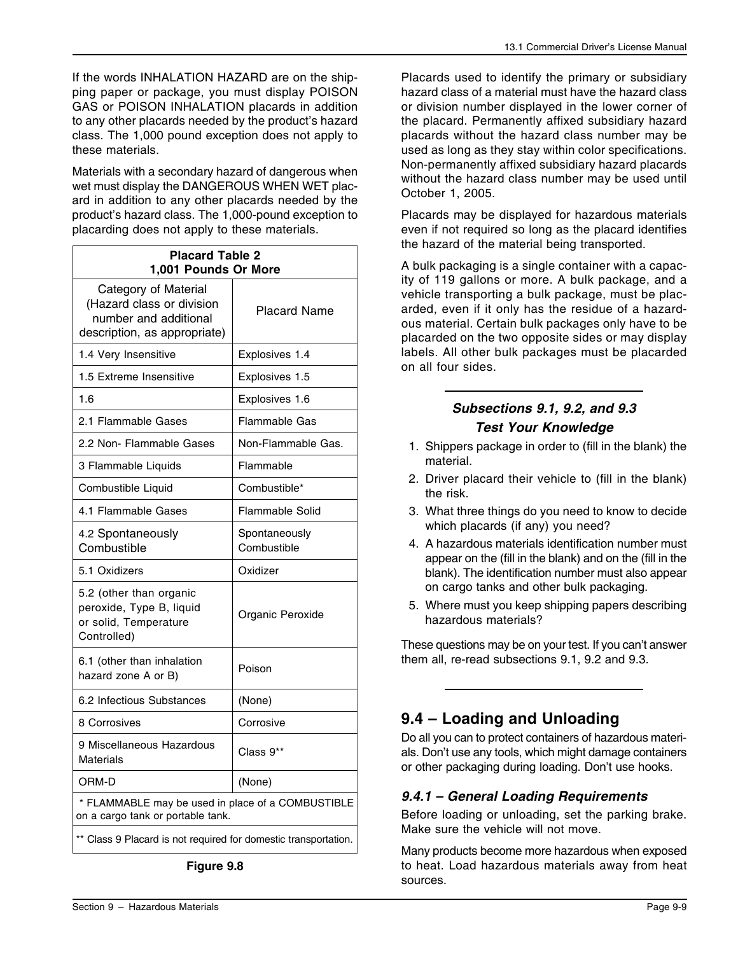If the words INHALATION HAZARD are on the shipping paper or package, you must display POISON GAS or POISON INHALATION placards in addition to any other placards needed by the product's hazard class. The 1,000 pound exception does not apply to these materials.

Materials with a secondary hazard of dangerous when wet must display the DANGEROUS WHEN WET placard in addition to any other placards needed by the product's hazard class. The 1,000-pound exception to placarding does not apply to these materials.

| <b>Placard Table 2</b><br>1,001 Pounds Or More                                                             |                              |  |  |  |
|------------------------------------------------------------------------------------------------------------|------------------------------|--|--|--|
| Category of Material<br>(Hazard class or division<br>number and additional<br>description, as appropriate) | <b>Placard Name</b>          |  |  |  |
| 1.4 Very Insensitive                                                                                       | Explosives 1.4               |  |  |  |
| 1.5 Extreme Insensitive                                                                                    | Explosives 1.5               |  |  |  |
| 1.6                                                                                                        | Explosives 1.6               |  |  |  |
| 2.1 Flammable Gases                                                                                        | Flammable Gas                |  |  |  |
| 2.2 Non- Flammable Gases                                                                                   | Non-Flammable Gas.           |  |  |  |
| 3 Flammable Liquids                                                                                        | Flammable                    |  |  |  |
| Combustible Liquid                                                                                         | Combustible*                 |  |  |  |
| 4.1 Flammable Gases                                                                                        | <b>Flammable Solid</b>       |  |  |  |
| 4.2 Spontaneously<br>Combustible                                                                           | Spontaneously<br>Combustible |  |  |  |
| 5.1 Oxidizers                                                                                              | Oxidizer                     |  |  |  |
| 5.2 (other than organic<br>peroxide, Type B, liquid<br>or solid, Temperature<br>Controlled)                | Organic Peroxide             |  |  |  |
| 6.1 (other than inhalation<br>hazard zone A or B)                                                          | Poison                       |  |  |  |
| 6.2 Infectious Substances                                                                                  | (None)                       |  |  |  |
| 8 Corrosives                                                                                               | Corrosive                    |  |  |  |
| 9 Miscellaneous Hazardous<br><b>Materials</b>                                                              | Class 9**                    |  |  |  |
| ORM-D                                                                                                      | (None)                       |  |  |  |
| * FLAMMABLE may be used in place of a COMBUSTIBLE<br>on a cargo tank or portable tank.                     |                              |  |  |  |
| ** Class 9 Placard is not required for domestic transportation.                                            |                              |  |  |  |

**Figure 9.8**

Placards used to identify the primary or subsidiary hazard class of a material must have the hazard class or division number displayed in the lower corner of the placard. Permanently affixed subsidiary hazard placards without the hazard class number may be used as long as they stay within color specifications. Non-permanently affixed subsidiary hazard placards without the hazard class number may be used until October 1, 2005.

Placards may be displayed for hazardous materials even if not required so long as the placard identifies the hazard of the material being transported.

A bulk packaging is a single container with a capacity of 119 gallons or more. A bulk package, and a vehicle transporting a bulk package, must be placarded, even if it only has the residue of a hazardous material. Certain bulk packages only have to be placarded on the two opposite sides or may display labels. All other bulk packages must be placarded on all four sides.

# **Subsections 9.1, 9.2, and 9.3 Test Your Knowledge**

- 1. Shippers package in order to (fill in the blank) the material.
- 2. Driver placard their vehicle to (fill in the blank) the risk.
- 3. What three things do you need to know to decide which placards (if any) you need?
- 4. A hazardous materials identification number must appear on the (fill in the blank) and on the (fill in the blank). The identification number must also appear on cargo tanks and other bulk packaging.
- 5. Where must you keep shipping papers describing hazardous materials?

These questions may be on your test. If you can't answer them all, re-read subsections 9.1, 9.2 and 9.3.

# **9.4 – Loading and Unloading**

Do all you can to protect containers of hazardous materials. Don't use any tools, which might damage containers or other packaging during loading. Don't use hooks.

## **9.4.1 – General Loading Requirements**

Before loading or unloading, set the parking brake. Make sure the vehicle will not move.

Many products become more hazardous when exposed to heat. Load hazardous materials away from heat sources.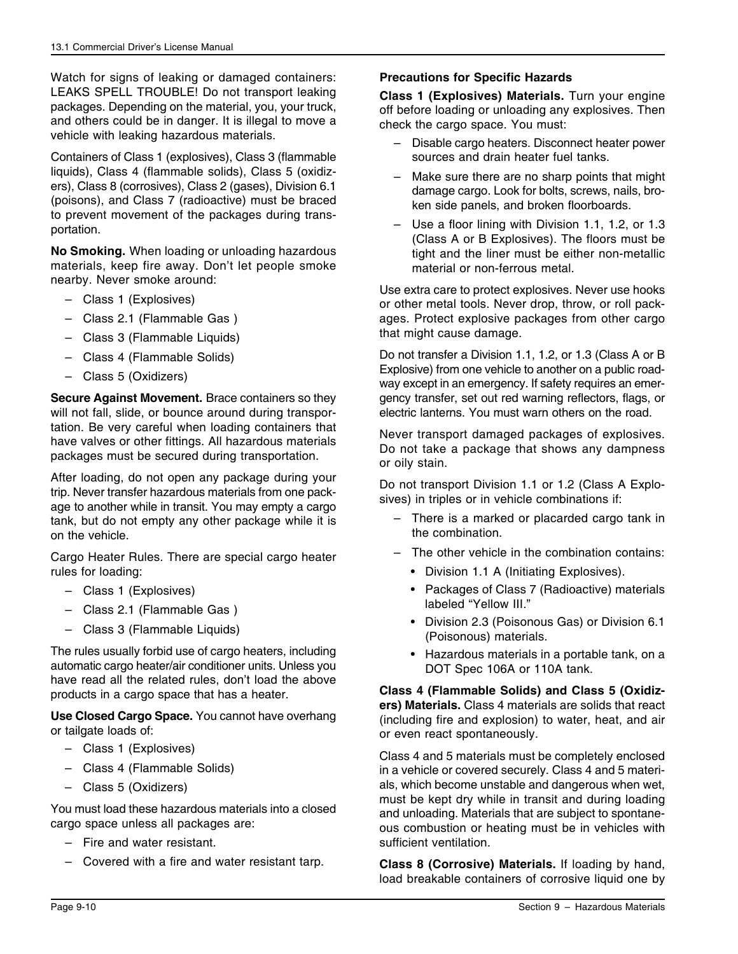Watch for signs of leaking or damaged containers: LEAKS SPELL TROUBLE! Do not transport leaking packages. Depending on the material, you, your truck, and others could be in danger. It is illegal to move a vehicle with leaking hazardous materials.

Containers of Class 1 (explosives), Class 3 (flammable liquids), Class 4 (flammable solids), Class 5 (oxidizers), Class 8 (corrosives), Class 2 (gases), Division 6.1 (poisons), and Class 7 (radioactive) must be braced to prevent movement of the packages during transportation.

**No Smoking.** When loading or unloading hazardous materials, keep fire away. Don't let people smoke nearby. Never smoke around:

- Class 1 (Explosives)
- Class 2.1 (Flammable Gas )
- Class 3 (Flammable Liquids)
- Class 4 (Flammable Solids)
- Class 5 (Oxidizers)

**Secure Against Movement.** Brace containers so they will not fall, slide, or bounce around during transportation. Be very careful when loading containers that have valves or other fittings. All hazardous materials packages must be secured during transportation.

After loading, do not open any package during your trip. Never transfer hazardous materials from one package to another while in transit. You may empty a cargo tank, but do not empty any other package while it is on the vehicle.

Cargo Heater Rules. There are special cargo heater rules for loading:

- Class 1 (Explosives)
- Class 2.1 (Flammable Gas )
- Class 3 (Flammable Liquids)

The rules usually forbid use of cargo heaters, including automatic cargo heater/air conditioner units. Unless you have read all the related rules, don't load the above products in a cargo space that has a heater.

**Use Closed Cargo Space.** You cannot have overhang or tailgate loads of:

- Class 1 (Explosives)
- Class 4 (Flammable Solids)
- Class 5 (Oxidizers)

You must load these hazardous materials into a closed cargo space unless all packages are:

- Fire and water resistant.
- Covered with a fire and water resistant tarp.

#### **Precautions for Specific Hazards**

**Class 1 (Explosives) Materials.** Turn your engine off before loading or unloading any explosives. Then check the cargo space. You must:

- Disable cargo heaters. Disconnect heater power sources and drain heater fuel tanks.
- Make sure there are no sharp points that might damage cargo. Look for bolts, screws, nails, broken side panels, and broken floorboards.
- Use a floor lining with Division 1.1, 1.2, or 1.3 (Class A or B Explosives). The floors must be tight and the liner must be either non-metallic material or non-ferrous metal.

Use extra care to protect explosives. Never use hooks or other metal tools. Never drop, throw, or roll packages. Protect explosive packages from other cargo that might cause damage.

Do not transfer a Division 1.1, 1.2, or 1.3 (Class A or B Explosive) from one vehicle to another on a public roadway except in an emergency. If safety requires an emergency transfer, set out red warning reflectors, flags, or electric lanterns. You must warn others on the road.

Never transport damaged packages of explosives. Do not take a package that shows any dampness or oily stain.

Do not transport Division 1.1 or 1.2 (Class A Explosives) in triples or in vehicle combinations if:

- There is a marked or placarded cargo tank in the combination.
- The other vehicle in the combination contains:
	- Division 1.1 A (Initiating Explosives).
	- Packages of Class 7 (Radioactive) materials labeled "Yellow III."
	- Division 2.3 (Poisonous Gas) or Division 6.1 (Poisonous) materials.
	- Hazardous materials in a portable tank, on a DOT Spec 106A or 110A tank.

**Class 4 (Flammable Solids) and Class 5 (Oxidizers) Materials.** Class 4 materials are solids that react (including fire and explosion) to water, heat, and air or even react spontaneously.

Class 4 and 5 materials must be completely enclosed in a vehicle or covered securely. Class 4 and 5 materials, which become unstable and dangerous when wet, must be kept dry while in transit and during loading and unloading. Materials that are subject to spontaneous combustion or heating must be in vehicles with sufficient ventilation.

**Class 8 (Corrosive) Materials.** If loading by hand, load breakable containers of corrosive liquid one by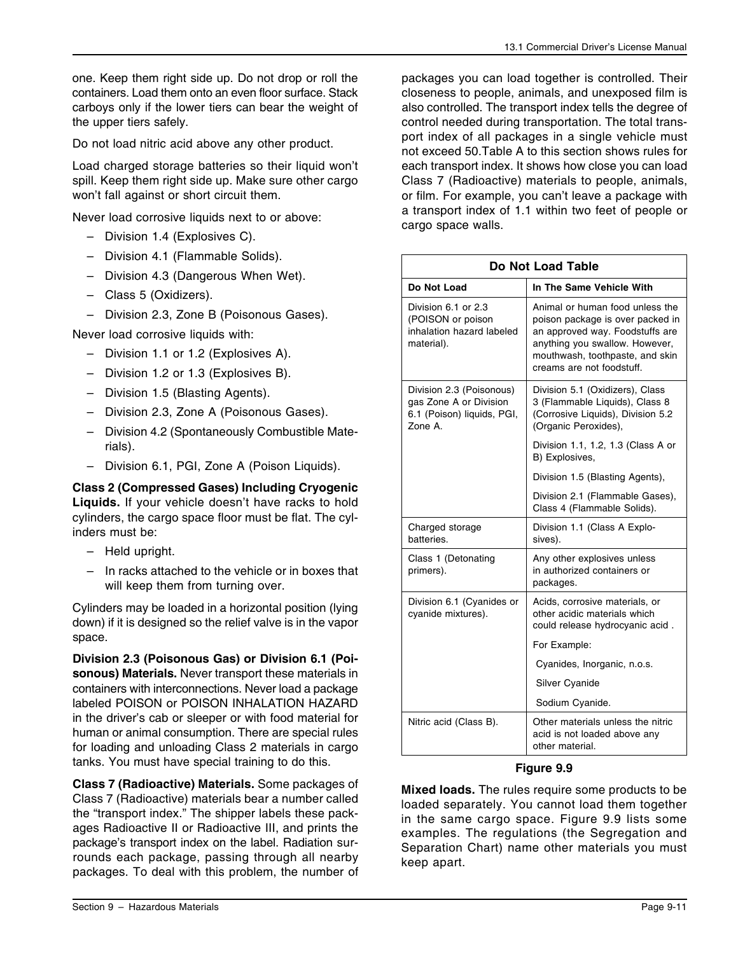one. Keep them right side up. Do not drop or roll the containers. Load them onto an even floor surface. Stack carboys only if the lower tiers can bear the weight of the upper tiers safely.

Do not load nitric acid above any other product.

Load charged storage batteries so their liquid won't spill. Keep them right side up. Make sure other cargo won't fall against or short circuit them.

Never load corrosive liquids next to or above:

- Division 1.4 (Explosives C).
- Division 4.1 (Flammable Solids).
- Division 4.3 (Dangerous When Wet).
- Class 5 (Oxidizers).
- Division 2.3, Zone B (Poisonous Gases).

Never load corrosive liquids with:

- Division 1.1 or 1.2 (Explosives A).
- Division 1.2 or 1.3 (Explosives B).
- Division 1.5 (Blasting Agents).
- Division 2.3, Zone A (Poisonous Gases).
- Division 4.2 (Spontaneously Combustible Materials).
- Division 6.1, PGI, Zone A (Poison Liquids).

**Class 2 (Compressed Gases) Including Cryogenic Liquids.** If your vehicle doesn't have racks to hold cylinders, the cargo space floor must be flat. The cylinders must be:

- Held upright.
- In racks attached to the vehicle or in boxes that will keep them from turning over.

Cylinders may be loaded in a horizontal position (lying down) if it is designed so the relief valve is in the vapor space.

**Division 2.3 (Poisonous Gas) or Division 6.1 (Poisonous) Materials.** Never transport these materials in containers with interconnections. Never load a package labeled POISON or POISON INHALATION HAZARD in the driver's cab or sleeper or with food material for human or animal consumption. There are special rules for loading and unloading Class 2 materials in cargo tanks. You must have special training to do this.

**Class 7 (Radioactive) Materials.** Some packages of Class 7 (Radioactive) materials bear a number called the "transport index." The shipper labels these packages Radioactive II or Radioactive III, and prints the package's transport index on the label. Radiation surrounds each package, passing through all nearby packages. To deal with this problem, the number of

packages you can load together is controlled. Their closeness to people, animals, and unexposed film is also controlled. The transport index tells the degree of control needed during transportation. The total transport index of all packages in a single vehicle must not exceed 50.Table A to this section shows rules for each transport index. It shows how close you can load Class 7 (Radioactive) materials to people, animals, or film. For example, you can't leave a package with a transport index of 1.1 within two feet of people or cargo space walls.

|                                                                                             | Do Not Load Table                                                                                                                                                                                        |
|---------------------------------------------------------------------------------------------|----------------------------------------------------------------------------------------------------------------------------------------------------------------------------------------------------------|
| Do Not Load                                                                                 | In The Same Vehicle With                                                                                                                                                                                 |
| Division 6.1 or 2.3<br>(POISON or poison<br>inhalation hazard labeled<br>material).         | Animal or human food unless the<br>poison package is over packed in<br>an approved way. Foodstuffs are<br>anything you swallow. However,<br>mouthwash, toothpaste, and skin<br>creams are not foodstuff. |
| Division 2.3 (Poisonous)<br>gas Zone A or Division<br>6.1 (Poison) liquids, PGI,<br>Zone A. | Division 5.1 (Oxidizers), Class<br>3 (Flammable Liquids), Class 8<br>(Corrosive Liquids), Division 5.2<br>(Organic Peroxides),                                                                           |
|                                                                                             | Division 1.1, 1.2, 1.3 (Class A or<br>B) Explosives,                                                                                                                                                     |
|                                                                                             | Division 1.5 (Blasting Agents),                                                                                                                                                                          |
|                                                                                             | Division 2.1 (Flammable Gases),<br>Class 4 (Flammable Solids).                                                                                                                                           |
| Charged storage<br>batteries.                                                               | Division 1.1 (Class A Explo-<br>sives).                                                                                                                                                                  |
| Class 1 (Detonating<br>primers).                                                            | Any other explosives unless<br>in authorized containers or<br>packages.                                                                                                                                  |
| Division 6.1 (Cyanides or<br>cyanide mixtures).                                             | Acids, corrosive materials, or<br>other acidic materials which<br>could release hydrocyanic acid.                                                                                                        |
|                                                                                             | For Example:                                                                                                                                                                                             |
|                                                                                             | Cyanides, Inorganic, n.o.s.                                                                                                                                                                              |
|                                                                                             | Silver Cyanide                                                                                                                                                                                           |
|                                                                                             | Sodium Cyanide.                                                                                                                                                                                          |
| Nitric acid (Class B).                                                                      | Other materials unless the nitric<br>acid is not loaded above any<br>other material.                                                                                                                     |

#### **Figure 9.9**

**Mixed loads.** The rules require some products to be loaded separately. You cannot load them together in the same cargo space. Figure 9.9 lists some examples. The regulations (the Segregation and Separation Chart) name other materials you must keep apart.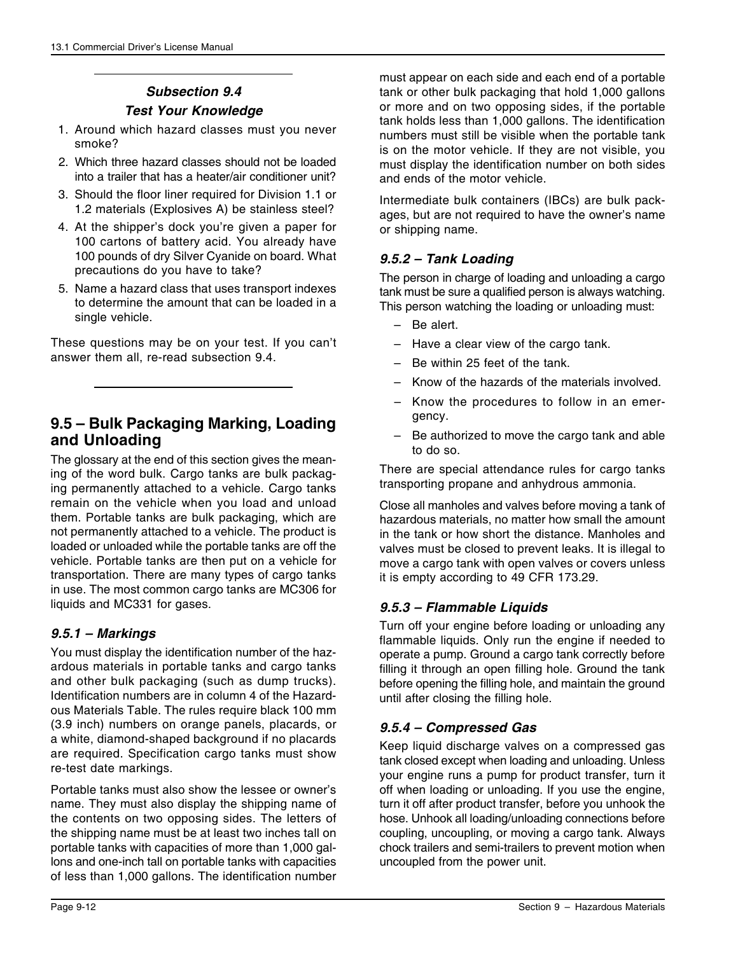# **Subsection 9.4 Test Your Knowledge**

- 1. Around which hazard classes must you never smoke?
- 2. Which three hazard classes should not be loaded into a trailer that has a heater/air conditioner unit?
- 3. Should the floor liner required for Division 1.1 or 1.2 materials (Explosives A) be stainless steel?
- 4. At the shipper's dock you're given a paper for 100 cartons of battery acid. You already have 100 pounds of dry Silver Cyanide on board. What precautions do you have to take?
- 5. Name a hazard class that uses transport indexes to determine the amount that can be loaded in a single vehicle.

These questions may be on your test. If you can't answer them all, re-read subsection 9.4.

## **9.5 – Bulk Packaging Marking, Loading and Unloading**

The glossary at the end of this section gives the meaning of the word bulk. Cargo tanks are bulk packaging permanently attached to a vehicle. Cargo tanks remain on the vehicle when you load and unload them. Portable tanks are bulk packaging, which are not permanently attached to a vehicle. The product is loaded or unloaded while the portable tanks are off the vehicle. Portable tanks are then put on a vehicle for transportation. There are many types of cargo tanks in use. The most common cargo tanks are MC306 for liquids and MC331 for gases.

## **9.5.1 – Markings**

You must display the identification number of the hazardous materials in portable tanks and cargo tanks and other bulk packaging (such as dump trucks). Identification numbers are in column 4 of the Hazardous Materials Table. The rules require black 100 mm (3.9 inch) numbers on orange panels, placards, or a white, diamond-shaped background if no placards are required. Specification cargo tanks must show re-test date markings.

Portable tanks must also show the lessee or owner's name. They must also display the shipping name of the contents on two opposing sides. The letters of the shipping name must be at least two inches tall on portable tanks with capacities of more than 1,000 gallons and one-inch tall on portable tanks with capacities of less than 1,000 gallons. The identification number

must appear on each side and each end of a portable tank or other bulk packaging that hold 1,000 gallons or more and on two opposing sides, if the portable tank holds less than 1,000 gallons. The identification numbers must still be visible when the portable tank is on the motor vehicle. If they are not visible, you must display the identification number on both sides and ends of the motor vehicle.

Intermediate bulk containers (IBCs) are bulk packages, but are not required to have the owner's name or shipping name.

## **9.5.2 – Tank Loading**

The person in charge of loading and unloading a cargo tank must be sure a qualified person is always watching. This person watching the loading or unloading must:

- Be alert.
- Have a clear view of the cargo tank.
- Be within 25 feet of the tank.
- Know of the hazards of the materials involved.
- Know the procedures to follow in an emergency.
- Be authorized to move the cargo tank and able to do so.

There are special attendance rules for cargo tanks transporting propane and anhydrous ammonia.

Close all manholes and valves before moving a tank of hazardous materials, no matter how small the amount in the tank or how short the distance. Manholes and valves must be closed to prevent leaks. It is illegal to move a cargo tank with open valves or covers unless it is empty according to 49 CFR 173.29.

## **9.5.3 – Flammable Liquids**

Turn off your engine before loading or unloading any flammable liquids. Only run the engine if needed to operate a pump. Ground a cargo tank correctly before filling it through an open filling hole. Ground the tank before opening the filling hole, and maintain the ground until after closing the filling hole.

## **9.5.4 – Compressed Gas**

Keep liquid discharge valves on a compressed gas tank closed except when loading and unloading. Unless your engine runs a pump for product transfer, turn it off when loading or unloading. If you use the engine, turn it off after product transfer, before you unhook the hose. Unhook all loading/unloading connections before coupling, uncoupling, or moving a cargo tank. Always chock trailers and semi-trailers to prevent motion when uncoupled from the power unit.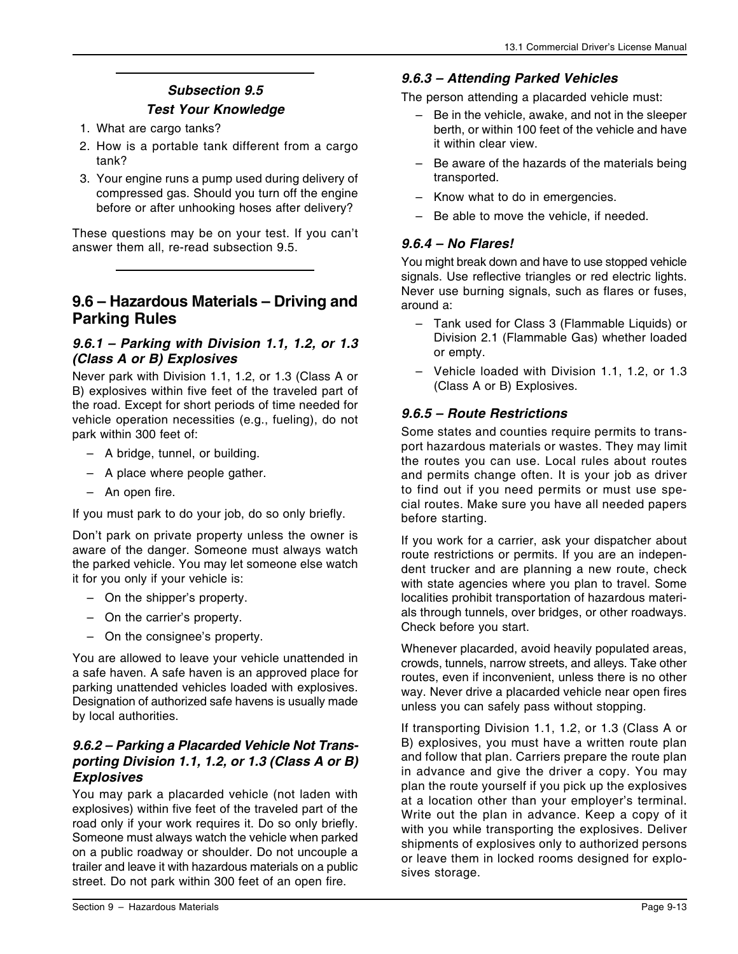## **Subsection 9.5 Test Your Knowledge**

- 1. What are cargo tanks?
- 2. How is a portable tank different from a cargo tank?
- 3. Your engine runs a pump used during delivery of compressed gas. Should you turn off the engine before or after unhooking hoses after delivery?

These questions may be on your test. If you can't answer them all, re-read subsection 9.5.

## **9.6 – Hazardous Materials – Driving and Parking Rules**

### **9.6.1 – Parking with Division 1.1, 1.2, or 1.3 (Class A or B) Explosives**

Never park with Division 1.1, 1.2, or 1.3 (Class A or B) explosives within five feet of the traveled part of the road. Except for short periods of time needed for vehicle operation necessities (e.g., fueling), do not park within 300 feet of:

- A bridge, tunnel, or building.
- A place where people gather.
- An open fire.

If you must park to do your job, do so only briefly.

Don't park on private property unless the owner is aware of the danger. Someone must always watch the parked vehicle. You may let someone else watch it for you only if your vehicle is:

- On the shipper's property.
- On the carrier's property.
- On the consignee's property.

You are allowed to leave your vehicle unattended in a safe haven. A safe haven is an approved place for parking unattended vehicles loaded with explosives. Designation of authorized safe havens is usually made by local authorities.

#### **9.6.2 – Parking a Placarded Vehicle Not Transporting Division 1.1, 1.2, or 1.3 (Class A or B) Explosives**

You may park a placarded vehicle (not laden with explosives) within five feet of the traveled part of the road only if your work requires it. Do so only briefly. Someone must always watch the vehicle when parked on a public roadway or shoulder. Do not uncouple a trailer and leave it with hazardous materials on a public street. Do not park within 300 feet of an open fire.

#### **9.6.3 – Attending Parked Vehicles**

The person attending a placarded vehicle must:

- Be in the vehicle, awake, and not in the sleeper berth, or within 100 feet of the vehicle and have it within clear view.
- Be aware of the hazards of the materials being transported.
- Know what to do in emergencies.
- Be able to move the vehicle, if needed.

### **9.6.4 – No Flares!**

You might break down and have to use stopped vehicle signals. Use reflective triangles or red electric lights. Never use burning signals, such as flares or fuses, around a:

- Tank used for Class 3 (Flammable Liquids) or Division 2.1 (Flammable Gas) whether loaded or empty.
- Vehicle loaded with Division 1.1, 1.2, or 1.3 (Class A or B) Explosives.

### **9.6.5 – Route Restrictions**

Some states and counties require permits to transport hazardous materials or wastes. They may limit the routes you can use. Local rules about routes and permits change often. It is your job as driver to find out if you need permits or must use special routes. Make sure you have all needed papers before starting.

If you work for a carrier, ask your dispatcher about route restrictions or permits. If you are an independent trucker and are planning a new route, check with state agencies where you plan to travel. Some localities prohibit transportation of hazardous materials through tunnels, over bridges, or other roadways. Check before you start.

Whenever placarded, avoid heavily populated areas, crowds, tunnels, narrow streets, and alleys. Take other routes, even if inconvenient, unless there is no other way. Never drive a placarded vehicle near open fires unless you can safely pass without stopping.

If transporting Division 1.1, 1.2, or 1.3 (Class A or B) explosives, you must have a written route plan and follow that plan. Carriers prepare the route plan in advance and give the driver a copy. You may plan the route yourself if you pick up the explosives at a location other than your employer's terminal. Write out the plan in advance. Keep a copy of it with you while transporting the explosives. Deliver shipments of explosives only to authorized persons or leave them in locked rooms designed for explosives storage.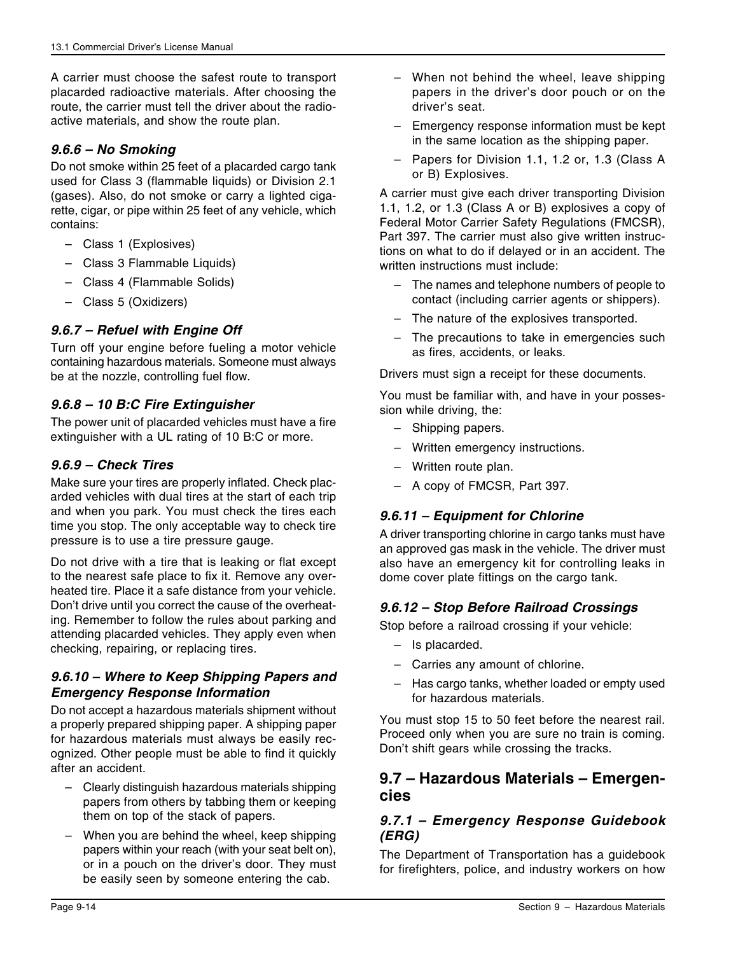A carrier must choose the safest route to transport placarded radioactive materials. After choosing the route, the carrier must tell the driver about the radioactive materials, and show the route plan.

#### **9.6.6 – No Smoking**

Do not smoke within 25 feet of a placarded cargo tank used for Class 3 (flammable liquids) or Division 2.1 (gases). Also, do not smoke or carry a lighted cigarette, cigar, or pipe within 25 feet of any vehicle, which contains:

- Class 1 (Explosives)
- Class 3 Flammable Liquids)
- Class 4 (Flammable Solids)
- Class 5 (Oxidizers)

## **9.6.7 – Refuel with Engine Off**

Turn off your engine before fueling a motor vehicle containing hazardous materials. Someone must always be at the nozzle, controlling fuel flow.

### **9.6.8 – 10 B:C Fire Extinguisher**

The power unit of placarded vehicles must have a fire extinguisher with a UL rating of 10 B:C or more.

#### **9.6.9 – Check Tires**

Make sure your tires are properly inflated. Check placarded vehicles with dual tires at the start of each trip and when you park. You must check the tires each time you stop. The only acceptable way to check tire pressure is to use a tire pressure gauge.

Do not drive with a tire that is leaking or flat except to the nearest safe place to fix it. Remove any overheated tire. Place it a safe distance from your vehicle. Don't drive until you correct the cause of the overheating. Remember to follow the rules about parking and attending placarded vehicles. They apply even when checking, repairing, or replacing tires.

#### **9.6.10 – Where to Keep Shipping Papers and Emergency Response Information**

Do not accept a hazardous materials shipment without a properly prepared shipping paper. A shipping paper for hazardous materials must always be easily recognized. Other people must be able to find it quickly after an accident.

- Clearly distinguish hazardous materials shipping papers from others by tabbing them or keeping them on top of the stack of papers.
- When you are behind the wheel, keep shipping papers within your reach (with your seat belt on), or in a pouch on the driver's door. They must be easily seen by someone entering the cab.
- When not behind the wheel, leave shipping papers in the driver's door pouch or on the driver's seat.
- Emergency response information must be kept in the same location as the shipping paper.
- Papers for Division 1.1, 1.2 or, 1.3 (Class A or B) Explosives.

A carrier must give each driver transporting Division 1.1, 1.2, or 1.3 (Class A or B) explosives a copy of Federal Motor Carrier Safety Regulations (FMCSR), Part 397. The carrier must also give written instructions on what to do if delayed or in an accident. The written instructions must include:

- The names and telephone numbers of people to contact (including carrier agents or shippers).
- The nature of the explosives transported.
- The precautions to take in emergencies such as fires, accidents, or leaks.

Drivers must sign a receipt for these documents.

You must be familiar with, and have in your possession while driving, the:

- Shipping papers.
- Written emergency instructions.
- Written route plan.
- A copy of FMCSR, Part 397.

## **9.6.11 – Equipment for Chlorine**

A driver transporting chlorine in cargo tanks must have an approved gas mask in the vehicle. The driver must also have an emergency kit for controlling leaks in dome cover plate fittings on the cargo tank.

## **9.6.12 – Stop Before Railroad Crossings**

Stop before a railroad crossing if your vehicle:

- Is placarded.
- Carries any amount of chlorine.
- Has cargo tanks, whether loaded or empty used for hazardous materials.

You must stop 15 to 50 feet before the nearest rail. Proceed only when you are sure no train is coming. Don't shift gears while crossing the tracks.

## **9.7 – Hazardous Materials – Emergencies**

### **9.7.1 – Emergency Response Guidebook (ERG)**

The Department of Transportation has a guidebook for firefighters, police, and industry workers on how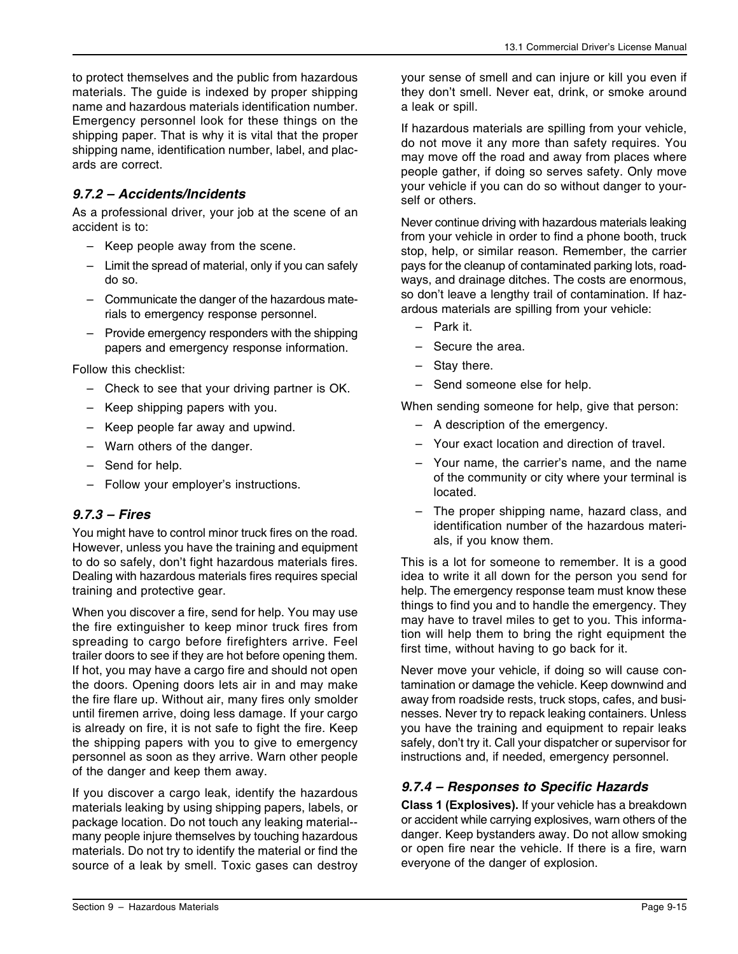to protect themselves and the public from hazardous materials. The guide is indexed by proper shipping name and hazardous materials identification number. Emergency personnel look for these things on the shipping paper. That is why it is vital that the proper shipping name, identification number, label, and placards are correct.

#### **9.7.2 – Accidents/Incidents**

As a professional driver, your job at the scene of an accident is to:

- Keep people away from the scene.
- Limit the spread of material, only if you can safely do so.
- Communicate the danger of the hazardous materials to emergency response personnel.
- Provide emergency responders with the shipping papers and emergency response information.

Follow this checklist:

- Check to see that your driving partner is OK.
- Keep shipping papers with you.
- Keep people far away and upwind.
- Warn others of the danger.
- Send for help.
- Follow your employer's instructions.

#### **9.7.3 – Fires**

You might have to control minor truck fires on the road. However, unless you have the training and equipment to do so safely, don't fight hazardous materials fires. Dealing with hazardous materials fires requires special training and protective gear.

When you discover a fire, send for help. You may use the fire extinguisher to keep minor truck fires from spreading to cargo before firefighters arrive. Feel trailer doors to see if they are hot before opening them. If hot, you may have a cargo fire and should not open the doors. Opening doors lets air in and may make the fire flare up. Without air, many fires only smolder until firemen arrive, doing less damage. If your cargo is already on fire, it is not safe to fight the fire. Keep the shipping papers with you to give to emergency personnel as soon as they arrive. Warn other people of the danger and keep them away.

If you discover a cargo leak, identify the hazardous materials leaking by using shipping papers, labels, or package location. Do not touch any leaking material- many people injure themselves by touching hazardous materials. Do not try to identify the material or find the source of a leak by smell. Toxic gases can destroy

your sense of smell and can injure or kill you even if they don't smell. Never eat, drink, or smoke around a leak or spill.

If hazardous materials are spilling from your vehicle, do not move it any more than safety requires. You may move off the road and away from places where people gather, if doing so serves safety. Only move your vehicle if you can do so without danger to yourself or others.

Never continue driving with hazardous materials leaking from your vehicle in order to find a phone booth, truck stop, help, or similar reason. Remember, the carrier pays for the cleanup of contaminated parking lots, roadways, and drainage ditches. The costs are enormous, so don't leave a lengthy trail of contamination. If hazardous materials are spilling from your vehicle:

- Park it.
- Secure the area.
- Stay there.
- Send someone else for help.

When sending someone for help, give that person:

- A description of the emergency.
- Your exact location and direction of travel.
- Your name, the carrier's name, and the name of the community or city where your terminal is located.
- The proper shipping name, hazard class, and identification number of the hazardous materials, if you know them.

This is a lot for someone to remember. It is a good idea to write it all down for the person you send for help. The emergency response team must know these things to find you and to handle the emergency. They may have to travel miles to get to you. This information will help them to bring the right equipment the first time, without having to go back for it.

Never move your vehicle, if doing so will cause contamination or damage the vehicle. Keep downwind and away from roadside rests, truck stops, cafes, and businesses. Never try to repack leaking containers. Unless you have the training and equipment to repair leaks safely, don't try it. Call your dispatcher or supervisor for instructions and, if needed, emergency personnel.

#### **9.7.4 – Responses to Specific Hazards**

**Class 1 (Explosives).** If your vehicle has a breakdown or accident while carrying explosives, warn others of the danger. Keep bystanders away. Do not allow smoking or open fire near the vehicle. If there is a fire, warn everyone of the danger of explosion.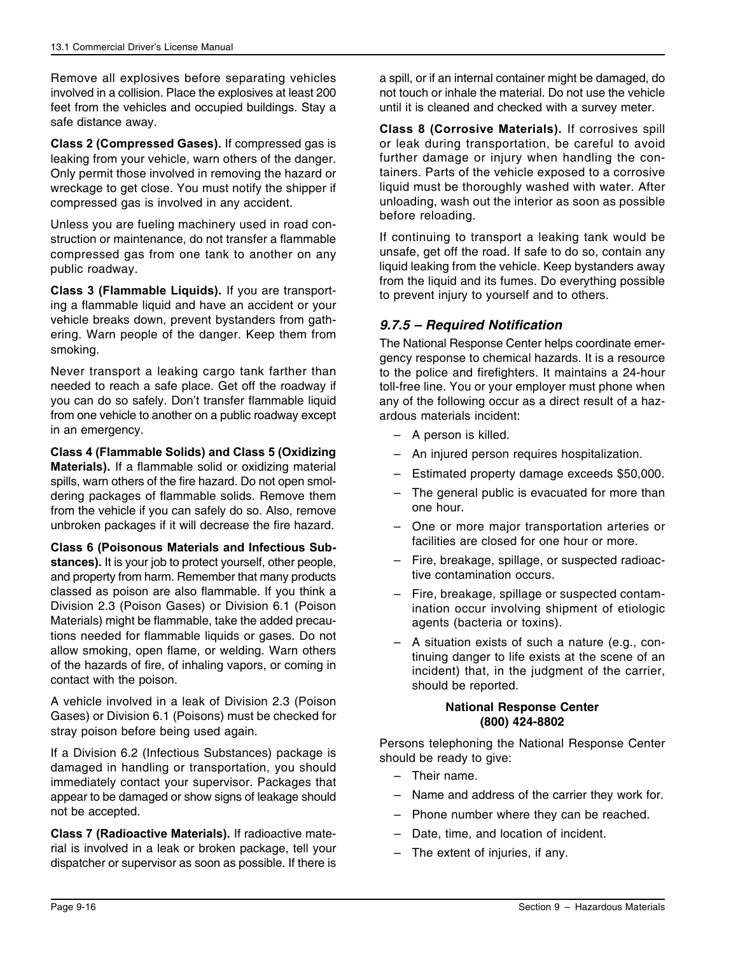Remove all explosives before separating vehicles involved in a collision. Place the explosives at least 200 feet from the vehicles and occupied buildings. Stay a safe distance away.

**Class 2 (Compressed Gases).** If compressed gas is leaking from your vehicle, warn others of the danger. Only permit those involved in removing the hazard or wreckage to get close. You must notify the shipper if compressed gas is involved in any accident.

Unless you are fueling machinery used in road construction or maintenance, do not transfer a flammable compressed gas from one tank to another on any public roadway.

**Class 3 (Flammable Liquids).** If you are transporting a flammable liquid and have an accident or your vehicle breaks down, prevent bystanders from gathering. Warn people of the danger. Keep them from smoking.

Never transport a leaking cargo tank farther than needed to reach a safe place. Get off the roadway if you can do so safely. Don't transfer flammable liquid from one vehicle to another on a public roadway except in an emergency.

**Class 4 (Flammable Solids) and Class 5 (Oxidizing Materials).** If a flammable solid or oxidizing material spills, warn others of the fire hazard. Do not open smoldering packages of flammable solids. Remove them from the vehicle if you can safely do so. Also, remove unbroken packages if it will decrease the fire hazard.

**Class 6 (Poisonous Materials and Infectious Sub**stances). It is your job to protect yourself, other people, and property from harm. Remember that many products classed as poison are also flammable. If you think a Division 2.3 (Poison Gases) or Division 6.1 (Poison Materials) might be flammable, take the added precautions needed for flammable liquids or gases. Do not allow smoking, open flame, or welding. Warn others of the hazards of fire, of inhaling vapors, or coming in contact with the poison.

A vehicle involved in a leak of Division 2.3 (Poison Gases) or Division 6.1 (Poisons) must be checked for stray poison before being used again.

If a Division 6.2 (Infectious Substances) package is damaged in handling or transportation, you should immediately contact your supervisor. Packages that appear to be damaged or show signs of leakage should not be accepted.

**Class 7 (Radioactive Materials).** If radioactive material is involved in a leak or broken package, tell your dispatcher or supervisor as soon as possible. If there is

a spill, or if an internal container might be damaged, do not touch or inhale the material. Do not use the vehicle until it is cleaned and checked with a survey meter.

**Class 8 (Corrosive Materials).** If corrosives spill or leak during transportation, be careful to avoid further damage or injury when handling the containers. Parts of the vehicle exposed to a corrosive liquid must be thoroughly washed with water. After unloading, wash out the interior as soon as possible before reloading.

If continuing to transport a leaking tank would be unsafe, get off the road. If safe to do so, contain any liquid leaking from the vehicle. Keep bystanders away from the liquid and its fumes. Do everything possible to prevent injury to yourself and to others.

## **9.7.5 – Required Notification**

The National Response Center helps coordinate emergency response to chemical hazards. It is a resource to the police and firefighters. It maintains a 24-hour toll-free line. You or your employer must phone when any of the following occur as a direct result of a hazardous materials incident:

- A person is killed.
- An injured person requires hospitalization.
- Estimated property damage exceeds \$50,000.
- The general public is evacuated for more than one hour.
- One or more major transportation arteries or facilities are closed for one hour or more.
- Fire, breakage, spillage, or suspected radioactive contamination occurs.
- Fire, breakage, spillage or suspected contamination occur involving shipment of etiologic agents (bacteria or toxins).
- A situation exists of such a nature (e.g., continuing danger to life exists at the scene of an incident) that, in the judgment of the carrier, should be reported.

#### **National Response Center (800) 424-8802**

Persons telephoning the National Response Center should be ready to give:

- Their name.
- Name and address of the carrier they work for.
- Phone number where they can be reached.
- Date, time, and location of incident.
- The extent of injuries, if any.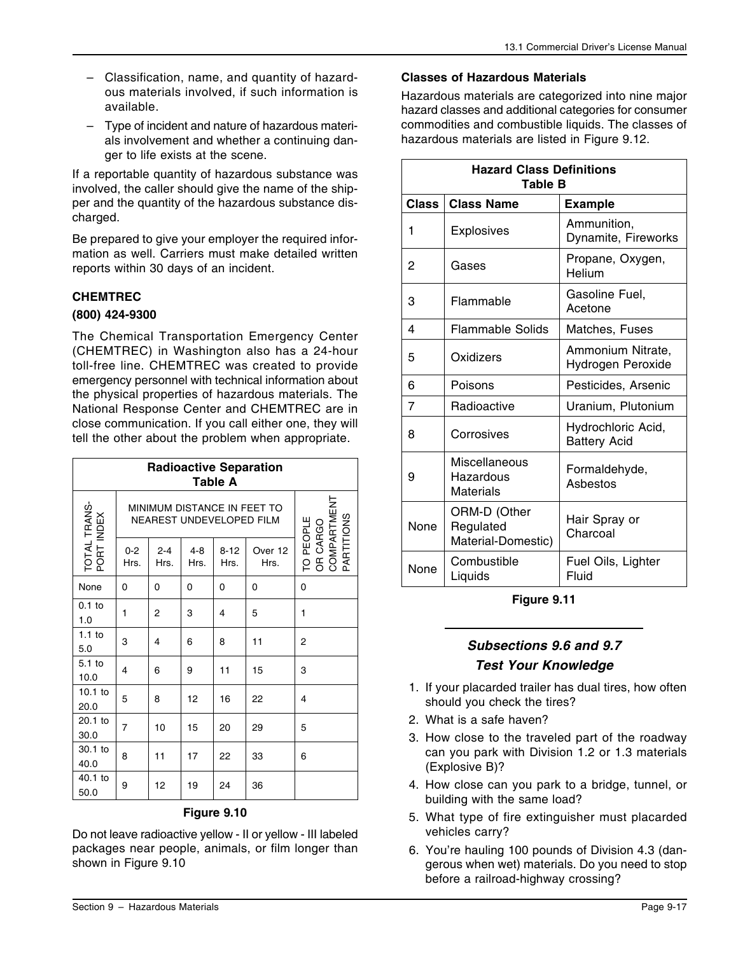- Classification, name, and quantity of hazardous materials involved, if such information is available.
- Type of incident and nature of hazardous materials involvement and whether a continuing danger to life exists at the scene.

If a reportable quantity of hazardous substance was involved, the caller should give the name of the shipper and the quantity of the hazardous substance discharged.

Be prepared to give your employer the required information as well. Carriers must make detailed written reports within 30 days of an incident.

### **CHEMTREC**

#### **(800) 424-9300**

The Chemical Transportation Emergency Center (CHEMTREC) in Washington also has a 24-hour toll-free line. CHEMTREC was created to provide emergency personnel with technical information about the physical properties of hazardous materials. The National Response Center and CHEMTREC are in close communication. If you call either one, they will tell the other about the problem when appropriate.

|                           | <b>Radioactive Separation</b><br>Table A                |                 |                 |                  |                 |                                     |  |
|---------------------------|---------------------------------------------------------|-----------------|-----------------|------------------|-----------------|-------------------------------------|--|
| TOTAL TRANS-              | MINIMUM DISTANCE IN FEET TO<br>NEAREST UNDEVELOPED FILM |                 |                 |                  |                 | COMPARTMENT                         |  |
| PORT INDEX                | $0 - 2$<br>Hrs.                                         | $2 - 4$<br>Hrs. | $4 - 8$<br>Hrs. | $8 - 12$<br>Hrs. | Over 12<br>Hrs. | PARTITIONS<br>TO PEOPLE<br>OR CARGO |  |
| None                      | 0                                                       | 0               | 0               | 0                | 0               | 0                                   |  |
| $0.1$ to<br>1.0           | 1                                                       | 2               | 3               | 4                | 5               | 1                                   |  |
| 1.1 <sub>to</sub><br>5.0  | 3                                                       | 4               | 6               | 8                | 11              | 2                                   |  |
| 5.1 <sub>to</sub><br>10.0 | 4                                                       | 6               | 9               | 11               | 15              | 3                                   |  |
| $10.1$ to<br>20.0         | 5                                                       | 8               | 12              | 16               | 22              | 4                                   |  |
| $20.1$ to<br>30.0         | 7                                                       | 10              | 15              | 20               | 29              | 5                                   |  |
| 30.1 to<br>40.0           | 8                                                       | 11              | 17              | 22               | 33              | 6                                   |  |
| 40.1 to<br>50.0           | 9                                                       | 12              | 19              | 24               | 36              |                                     |  |

#### **Figure 9.10**

Do not leave radioactive yellow - II or yellow - III labeled packages near people, animals, or film longer than shown in Figure 9.10

#### **Classes of Hazardous Materials**

Hazardous materials are categorized into nine major hazard classes and additional categories for consumer commodities and combustible liquids. The classes of hazardous materials are listed in Figure 9.12.

|              | <b>Hazard Class Definitions</b><br><b>Table B</b> |                                           |  |  |  |
|--------------|---------------------------------------------------|-------------------------------------------|--|--|--|
| <b>Class</b> | <b>Class Name</b>                                 | <b>Example</b>                            |  |  |  |
| 1            | <b>Explosives</b>                                 | Ammunition,<br>Dynamite, Fireworks        |  |  |  |
| 2            | Gases                                             | Propane, Oxygen,<br>Helium                |  |  |  |
| 3            | Flammable                                         | Gasoline Fuel,<br>Acetone                 |  |  |  |
| 4            | <b>Flammable Solids</b>                           | Matches, Fuses                            |  |  |  |
| 5            | Oxidizers                                         | Ammonium Nitrate,<br>Hydrogen Peroxide    |  |  |  |
| 6            | Poisons                                           | Pesticides, Arsenic                       |  |  |  |
| 7            | Radioactive                                       | Uranium, Plutonium                        |  |  |  |
| 8            | Corrosives                                        | Hydrochloric Acid,<br><b>Battery Acid</b> |  |  |  |
| 9            | Miscellaneous<br>Hazardous<br>Materials           | Formaldehyde,<br>Asbestos                 |  |  |  |
| None         | ORM-D (Other<br>Regulated<br>Material-Domestic)   | Hair Spray or<br>Charcoal                 |  |  |  |
| None         | Combustible<br>Liquids                            | Fuel Oils, Lighter<br>Fluid               |  |  |  |

**Figure 9.11** 

# **Subsections 9.6 and 9.7 Test Your Knowledge**

- 1. If your placarded trailer has dual tires, how often should you check the tires?
- 2. What is a safe haven?
- 3. How close to the traveled part of the roadway can you park with Division 1.2 or 1.3 materials (Explosive B)?
- 4. How close can you park to a bridge, tunnel, or building with the same load?
- 5. What type of fire extinguisher must placarded vehicles carry?
- 6. You're hauling 100 pounds of Division 4.3 (dangerous when wet) materials. Do you need to stop before a railroad-highway crossing?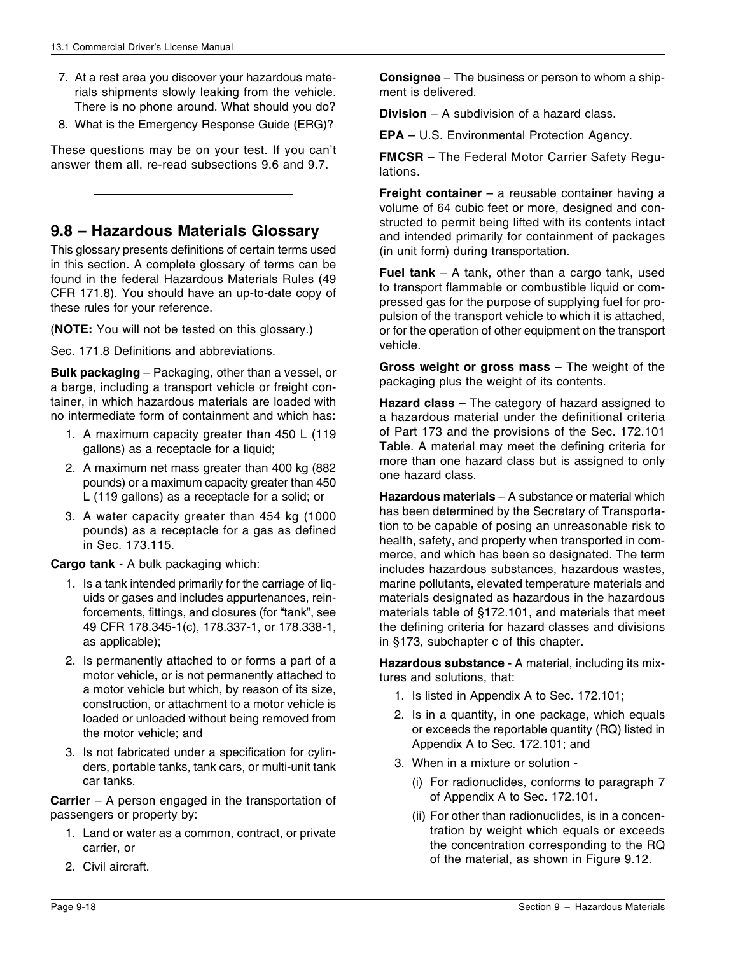- 7. At a rest area you discover your hazardous materials shipments slowly leaking from the vehicle. There is no phone around. What should you do?
- 8. What is the Emergency Response Guide (ERG)?

These questions may be on your test. If you can't answer them all, re-read subsections 9.6 and 9.7.

## **9.8 – Hazardous Materials Glossary**

This glossary presents definitions of certain terms used in this section. A complete glossary of terms can be found in the federal Hazardous Materials Rules (49 CFR 171.8). You should have an up-to-date copy of these rules for your reference.

(**NOTE:** You will not be tested on this glossary.)

Sec. 171.8 Definitions and abbreviations.

**Bulk packaging** – Packaging, other than a vessel, or a barge, including a transport vehicle or freight container, in which hazardous materials are loaded with no intermediate form of containment and which has:

- 1. A maximum capacity greater than 450 L (119 gallons) as a receptacle for a liquid;
- 2. A maximum net mass greater than 400 kg (882 pounds) or a maximum capacity greater than 450 L (119 gallons) as a receptacle for a solid; or
- 3. A water capacity greater than 454 kg (1000 pounds) as a receptacle for a gas as defined in Sec. 173.115.

**Cargo tank** - A bulk packaging which:

- 1. Is a tank intended primarily for the carriage of liquids or gases and includes appurtenances, reinforcements, fittings, and closures (for "tank", see 49 CFR 178.345‑1(c), 178.337‑1, or 178.338‑1, as applicable);
- 2. Is permanently attached to or forms a part of a motor vehicle, or is not permanently attached to a motor vehicle but which, by reason of its size, construction, or attachment to a motor vehicle is loaded or unloaded without being removed from the motor vehicle; and
- 3. Is not fabricated under a specification for cylinders, portable tanks, tank cars, or multi-unit tank car tanks.

**Carrier** – A person engaged in the transportation of passengers or property by:

- 1. Land or water as a common, contract, or private carrier, or
- 2. Civil aircraft.

**Consignee** – The business or person to whom a shipment is delivered.

**Division** – A subdivision of a hazard class.

**EPA** – U.S. Environmental Protection Agency.

**FMCSR** – The Federal Motor Carrier Safety Regulations.

**Freight container** – a reusable container having a volume of 64 cubic feet or more, designed and constructed to permit being lifted with its contents intact and intended primarily for containment of packages (in unit form) during transportation.

**Fuel tank** – A tank, other than a cargo tank, used to transport flammable or combustible liquid or compressed gas for the purpose of supplying fuel for propulsion of the transport vehicle to which it is attached, or for the operation of other equipment on the transport vehicle.

**Gross weight or gross mass** – The weight of the packaging plus the weight of its contents.

**Hazard class** – The category of hazard assigned to a hazardous material under the definitional criteria of Part 173 and the provisions of the Sec. 172.101 Table. A material may meet the defining criteria for more than one hazard class but is assigned to only one hazard class.

**Hazardous materials** – A substance or material which has been determined by the Secretary of Transportation to be capable of posing an unreasonable risk to health, safety, and property when transported in commerce, and which has been so designated. The term includes hazardous substances, hazardous wastes, marine pollutants, elevated temperature materials and materials designated as hazardous in the hazardous materials table of §172.101, and materials that meet the defining criteria for hazard classes and divisions in §173, subchapter c of this chapter.

**Hazardous substance** - A material, including its mixtures and solutions, that:

- 1. Is listed in Appendix A to Sec. 172.101;
- 2. Is in a quantity, in one package, which equals or exceeds the reportable quantity (RQ) listed in Appendix A to Sec. 172.101; and
- 3. When in a mixture or solution ‑
	- (i) For radionuclides, conforms to paragraph 7 of Appendix A to Sec. 172.101.
	- (ii) For other than radionuclides, is in a concentration by weight which equals or exceeds the concentration corresponding to the RQ of the material, as shown in Figure 9.12.